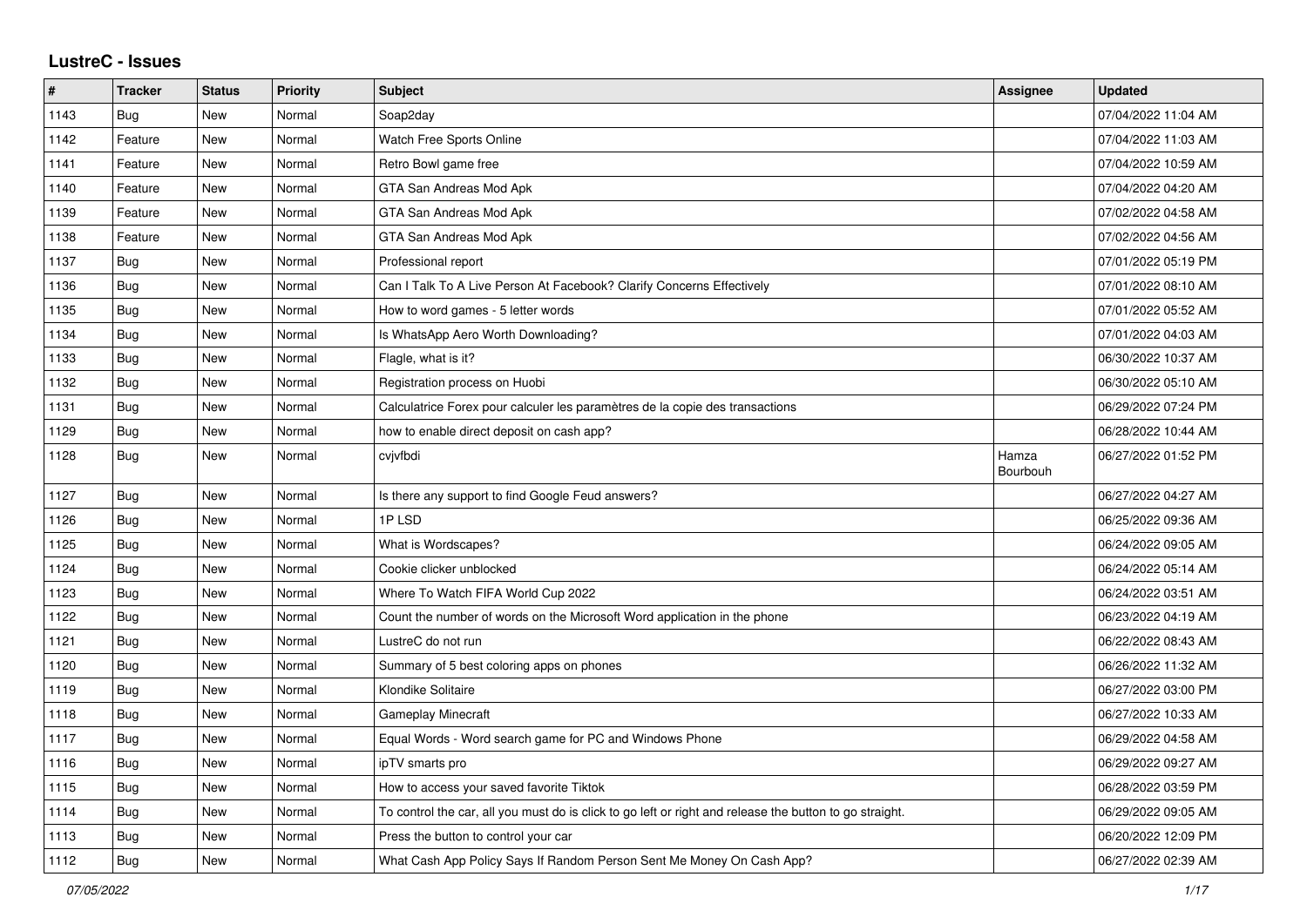## **LustreC - Issues**

| #    | <b>Tracker</b> | <b>Status</b> | <b>Priority</b> | <b>Subject</b>                                                                                          | Assignee          | <b>Updated</b>      |
|------|----------------|---------------|-----------------|---------------------------------------------------------------------------------------------------------|-------------------|---------------------|
| 1143 | <b>Bug</b>     | New           | Normal          | Soap2day                                                                                                |                   | 07/04/2022 11:04 AM |
| 1142 | Feature        | New           | Normal          | Watch Free Sports Online                                                                                |                   | 07/04/2022 11:03 AM |
| 1141 | Feature        | New           | Normal          | Retro Bowl game free                                                                                    |                   | 07/04/2022 10:59 AM |
| 1140 | Feature        | New           | Normal          | GTA San Andreas Mod Apk                                                                                 |                   | 07/04/2022 04:20 AM |
| 1139 | Feature        | New           | Normal          | GTA San Andreas Mod Apk                                                                                 |                   | 07/02/2022 04:58 AM |
| 1138 | Feature        | New           | Normal          | GTA San Andreas Mod Apk                                                                                 |                   | 07/02/2022 04:56 AM |
| 1137 | <b>Bug</b>     | New           | Normal          | Professional report                                                                                     |                   | 07/01/2022 05:19 PM |
| 1136 | <b>Bug</b>     | New           | Normal          | Can I Talk To A Live Person At Facebook? Clarify Concerns Effectively                                   |                   | 07/01/2022 08:10 AM |
| 1135 | Bug            | New           | Normal          | How to word games - 5 letter words                                                                      |                   | 07/01/2022 05:52 AM |
| 1134 | Bug            | New           | Normal          | Is WhatsApp Aero Worth Downloading?                                                                     |                   | 07/01/2022 04:03 AM |
| 1133 | Bug            | New           | Normal          | Flagle, what is it?                                                                                     |                   | 06/30/2022 10:37 AM |
| 1132 | <b>Bug</b>     | New           | Normal          | Registration process on Huobi                                                                           |                   | 06/30/2022 05:10 AM |
| 1131 | <b>Bug</b>     | <b>New</b>    | Normal          | Calculatrice Forex pour calculer les paramètres de la copie des transactions                            |                   | 06/29/2022 07:24 PM |
| 1129 | Bug            | New           | Normal          | how to enable direct deposit on cash app?                                                               |                   | 06/28/2022 10:44 AM |
| 1128 | Bug            | New           | Normal          | cvjvfbdi                                                                                                | Hamza<br>Bourbouh | 06/27/2022 01:52 PM |
| 1127 | Bug            | New           | Normal          | Is there any support to find Google Feud answers?                                                       |                   | 06/27/2022 04:27 AM |
| 1126 | <b>Bug</b>     | New           | Normal          | 1PLSD                                                                                                   |                   | 06/25/2022 09:36 AM |
| 1125 | <b>Bug</b>     | <b>New</b>    | Normal          | What is Wordscapes?                                                                                     |                   | 06/24/2022 09:05 AM |
| 1124 | Bug            | New           | Normal          | Cookie clicker unblocked                                                                                |                   | 06/24/2022 05:14 AM |
| 1123 | Bug            | New           | Normal          | Where To Watch FIFA World Cup 2022                                                                      |                   | 06/24/2022 03:51 AM |
| 1122 | Bug            | New           | Normal          | Count the number of words on the Microsoft Word application in the phone                                |                   | 06/23/2022 04:19 AM |
| 1121 | <b>Bug</b>     | New           | Normal          | LustreC do not run                                                                                      |                   | 06/22/2022 08:43 AM |
| 1120 | <b>Bug</b>     | New           | Normal          | Summary of 5 best coloring apps on phones                                                               |                   | 06/26/2022 11:32 AM |
| 1119 | <b>Bug</b>     | New           | Normal          | Klondike Solitaire                                                                                      |                   | 06/27/2022 03:00 PM |
| 1118 | <b>Bug</b>     | <b>New</b>    | Normal          | <b>Gameplay Minecraft</b>                                                                               |                   | 06/27/2022 10:33 AM |
| 1117 | <b>Bug</b>     | New           | Normal          | Equal Words - Word search game for PC and Windows Phone                                                 |                   | 06/29/2022 04:58 AM |
| 1116 | Bug            | New           | Normal          | ipTV smarts pro                                                                                         |                   | 06/29/2022 09:27 AM |
| 1115 | Bug            | New           | Normal          | How to access your saved favorite Tiktok                                                                |                   | 06/28/2022 03:59 PM |
| 1114 | Bug            | New           | Normal          | To control the car, all you must do is click to go left or right and release the button to go straight. |                   | 06/29/2022 09:05 AM |
| 1113 | Bug            | New           | Normal          | Press the button to control your car                                                                    |                   | 06/20/2022 12:09 PM |
| 1112 | <b>Bug</b>     | New           | Normal          | What Cash App Policy Says If Random Person Sent Me Money On Cash App?                                   |                   | 06/27/2022 02:39 AM |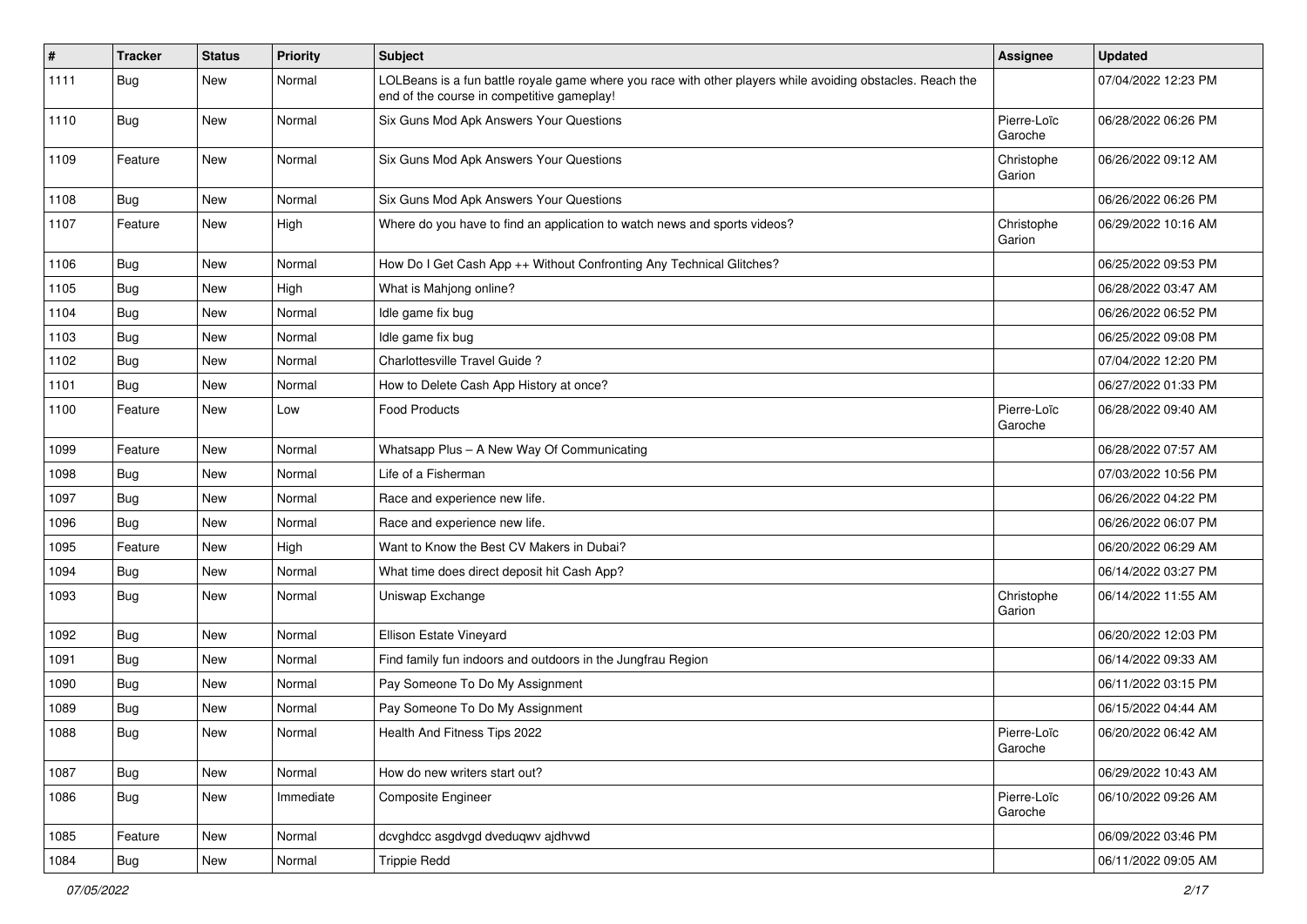| $\sharp$ | <b>Tracker</b> | <b>Status</b> | <b>Priority</b> | Subject                                                                                                                                                  | <b>Assignee</b>        | <b>Updated</b>      |
|----------|----------------|---------------|-----------------|----------------------------------------------------------------------------------------------------------------------------------------------------------|------------------------|---------------------|
| 1111     | <b>Bug</b>     | New           | Normal          | LOLBeans is a fun battle royale game where you race with other players while avoiding obstacles. Reach the<br>end of the course in competitive gameplay! |                        | 07/04/2022 12:23 PM |
| 1110     | Bug            | New           | Normal          | Six Guns Mod Apk Answers Your Questions                                                                                                                  | Pierre-Loïc<br>Garoche | 06/28/2022 06:26 PM |
| 1109     | Feature        | New           | Normal          | Six Guns Mod Apk Answers Your Questions                                                                                                                  | Christophe<br>Garion   | 06/26/2022 09:12 AM |
| 1108     | Bug            | <b>New</b>    | Normal          | Six Guns Mod Apk Answers Your Questions                                                                                                                  |                        | 06/26/2022 06:26 PM |
| 1107     | Feature        | New           | High            | Where do you have to find an application to watch news and sports videos?                                                                                | Christophe<br>Garion   | 06/29/2022 10:16 AM |
| 1106     | Bug            | New           | Normal          | How Do I Get Cash App ++ Without Confronting Any Technical Glitches?                                                                                     |                        | 06/25/2022 09:53 PM |
| 1105     | <b>Bug</b>     | New           | High            | What is Mahjong online?                                                                                                                                  |                        | 06/28/2022 03:47 AM |
| 1104     | <b>Bug</b>     | New           | Normal          | Idle game fix bug                                                                                                                                        |                        | 06/26/2022 06:52 PM |
| 1103     | Bug            | New           | Normal          | Idle game fix bug                                                                                                                                        |                        | 06/25/2022 09:08 PM |
| 1102     | <b>Bug</b>     | New           | Normal          | Charlottesville Travel Guide?                                                                                                                            |                        | 07/04/2022 12:20 PM |
| 1101     | Bug            | New           | Normal          | How to Delete Cash App History at once?                                                                                                                  |                        | 06/27/2022 01:33 PM |
| 1100     | Feature        | New           | Low             | <b>Food Products</b>                                                                                                                                     | Pierre-Loïc<br>Garoche | 06/28/2022 09:40 AM |
| 1099     | Feature        | New           | Normal          | Whatsapp Plus - A New Way Of Communicating                                                                                                               |                        | 06/28/2022 07:57 AM |
| 1098     | <b>Bug</b>     | New           | Normal          | Life of a Fisherman                                                                                                                                      |                        | 07/03/2022 10:56 PM |
| 1097     | Bug            | New           | Normal          | Race and experience new life.                                                                                                                            |                        | 06/26/2022 04:22 PM |
| 1096     | Bug            | <b>New</b>    | Normal          | Race and experience new life.                                                                                                                            |                        | 06/26/2022 06:07 PM |
| 1095     | Feature        | New           | High            | Want to Know the Best CV Makers in Dubai?                                                                                                                |                        | 06/20/2022 06:29 AM |
| 1094     | Bug            | New           | Normal          | What time does direct deposit hit Cash App?                                                                                                              |                        | 06/14/2022 03:27 PM |
| 1093     | <b>Bug</b>     | New           | Normal          | Uniswap Exchange                                                                                                                                         | Christophe<br>Garion   | 06/14/2022 11:55 AM |
| 1092     | Bug            | New           | Normal          | Ellison Estate Vineyard                                                                                                                                  |                        | 06/20/2022 12:03 PM |
| 1091     | <b>Bug</b>     | New           | Normal          | Find family fun indoors and outdoors in the Jungfrau Region                                                                                              |                        | 06/14/2022 09:33 AM |
| 1090     | Bug            | New           | Normal          | Pay Someone To Do My Assignment                                                                                                                          |                        | 06/11/2022 03:15 PM |
| 1089     | <b>Bug</b>     | New           | Normal          | Pay Someone To Do My Assignment                                                                                                                          |                        | 06/15/2022 04:44 AM |
| 1088     | Bug            | New           | Normal          | Health And Fitness Tips 2022                                                                                                                             | Pierre-Loïc<br>Garoche | 06/20/2022 06:42 AM |
| 1087     | Bug            | New           | Normal          | How do new writers start out?                                                                                                                            |                        | 06/29/2022 10:43 AM |
| 1086     | <b>Bug</b>     | New           | Immediate       | <b>Composite Engineer</b>                                                                                                                                | Pierre-Loïc<br>Garoche | 06/10/2022 09:26 AM |
| 1085     | Feature        | New           | Normal          | dcvghdcc asgdvgd dveduqwv ajdhvwd                                                                                                                        |                        | 06/09/2022 03:46 PM |
| 1084     | Bug            | New           | Normal          | <b>Trippie Redd</b>                                                                                                                                      |                        | 06/11/2022 09:05 AM |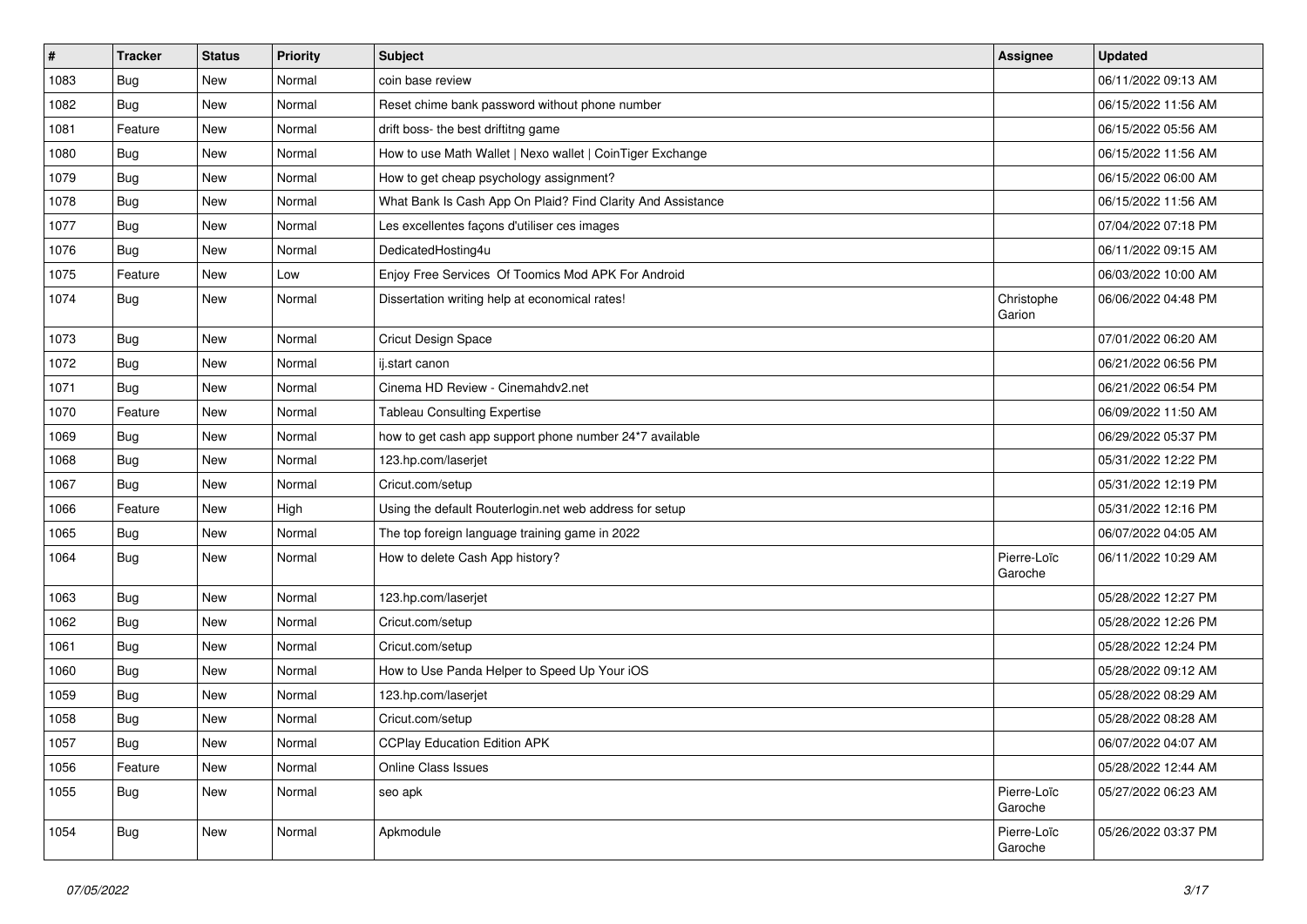| $\pmb{\#}$ | <b>Tracker</b> | <b>Status</b> | <b>Priority</b> | Subject                                                     | <b>Assignee</b>        | <b>Updated</b>      |
|------------|----------------|---------------|-----------------|-------------------------------------------------------------|------------------------|---------------------|
| 1083       | Bug            | New           | Normal          | coin base review                                            |                        | 06/11/2022 09:13 AM |
| 1082       | Bug            | <b>New</b>    | Normal          | Reset chime bank password without phone number              |                        | 06/15/2022 11:56 AM |
| 1081       | Feature        | New           | Normal          | drift boss- the best driftitng game                         |                        | 06/15/2022 05:56 AM |
| 1080       | Bug            | New           | Normal          | How to use Math Wallet   Nexo wallet   CoinTiger Exchange   |                        | 06/15/2022 11:56 AM |
| 1079       | <b>Bug</b>     | <b>New</b>    | Normal          | How to get cheap psychology assignment?                     |                        | 06/15/2022 06:00 AM |
| 1078       | Bug            | New           | Normal          | What Bank Is Cash App On Plaid? Find Clarity And Assistance |                        | 06/15/2022 11:56 AM |
| 1077       | Bug            | New           | Normal          | Les excellentes façons d'utiliser ces images                |                        | 07/04/2022 07:18 PM |
| 1076       | Bug            | New           | Normal          | DedicatedHosting4u                                          |                        | 06/11/2022 09:15 AM |
| 1075       | Feature        | New           | Low             | Enjoy Free Services Of Toomics Mod APK For Android          |                        | 06/03/2022 10:00 AM |
| 1074       | Bug            | <b>New</b>    | Normal          | Dissertation writing help at economical rates!              | Christophe<br>Garion   | 06/06/2022 04:48 PM |
| 1073       | Bug            | New           | Normal          | Cricut Design Space                                         |                        | 07/01/2022 06:20 AM |
| 1072       | Bug            | <b>New</b>    | Normal          | ij.start canon                                              |                        | 06/21/2022 06:56 PM |
| 1071       | Bug            | New           | Normal          | Cinema HD Review - Cinemahdv2.net                           |                        | 06/21/2022 06:54 PM |
| 1070       | Feature        | New           | Normal          | <b>Tableau Consulting Expertise</b>                         |                        | 06/09/2022 11:50 AM |
| 1069       | Bug            | New           | Normal          | how to get cash app support phone number 24*7 available     |                        | 06/29/2022 05:37 PM |
| 1068       | Bug            | New           | Normal          | 123.hp.com/laserjet                                         |                        | 05/31/2022 12:22 PM |
| 1067       | Bug            | <b>New</b>    | Normal          | Cricut.com/setup                                            |                        | 05/31/2022 12:19 PM |
| 1066       | Feature        | New           | High            | Using the default Routerlogin.net web address for setup     |                        | 05/31/2022 12:16 PM |
| 1065       | Bug            | New           | Normal          | The top foreign language training game in 2022              |                        | 06/07/2022 04:05 AM |
| 1064       | Bug            | New           | Normal          | How to delete Cash App history?                             | Pierre-Loïc<br>Garoche | 06/11/2022 10:29 AM |
| 1063       | Bug            | <b>New</b>    | Normal          | 123.hp.com/laserjet                                         |                        | 05/28/2022 12:27 PM |
| 1062       | Bug            | New           | Normal          | Cricut.com/setup                                            |                        | 05/28/2022 12:26 PM |
| 1061       | Bug            | New           | Normal          | Cricut.com/setup                                            |                        | 05/28/2022 12:24 PM |
| 1060       | Bug            | <b>New</b>    | Normal          | How to Use Panda Helper to Speed Up Your iOS                |                        | 05/28/2022 09:12 AM |
| 1059       | Bug            | New           | Normal          | 123.hp.com/laserjet                                         |                        | 05/28/2022 08:29 AM |
| 1058       | Bug            | <b>New</b>    | Normal          | Cricut.com/setup                                            |                        | 05/28/2022 08:28 AM |
| 1057       | Bug            | New           | Normal          | <b>CCPlay Education Edition APK</b>                         |                        | 06/07/2022 04:07 AM |
| 1056       | Feature        | New           | Normal          | <b>Online Class Issues</b>                                  |                        | 05/28/2022 12:44 AM |
| 1055       | <b>Bug</b>     | New           | Normal          | seo apk                                                     | Pierre-Loïc<br>Garoche | 05/27/2022 06:23 AM |
| 1054       | <b>Bug</b>     | New           | Normal          | Apkmodule                                                   | Pierre-Loïc<br>Garoche | 05/26/2022 03:37 PM |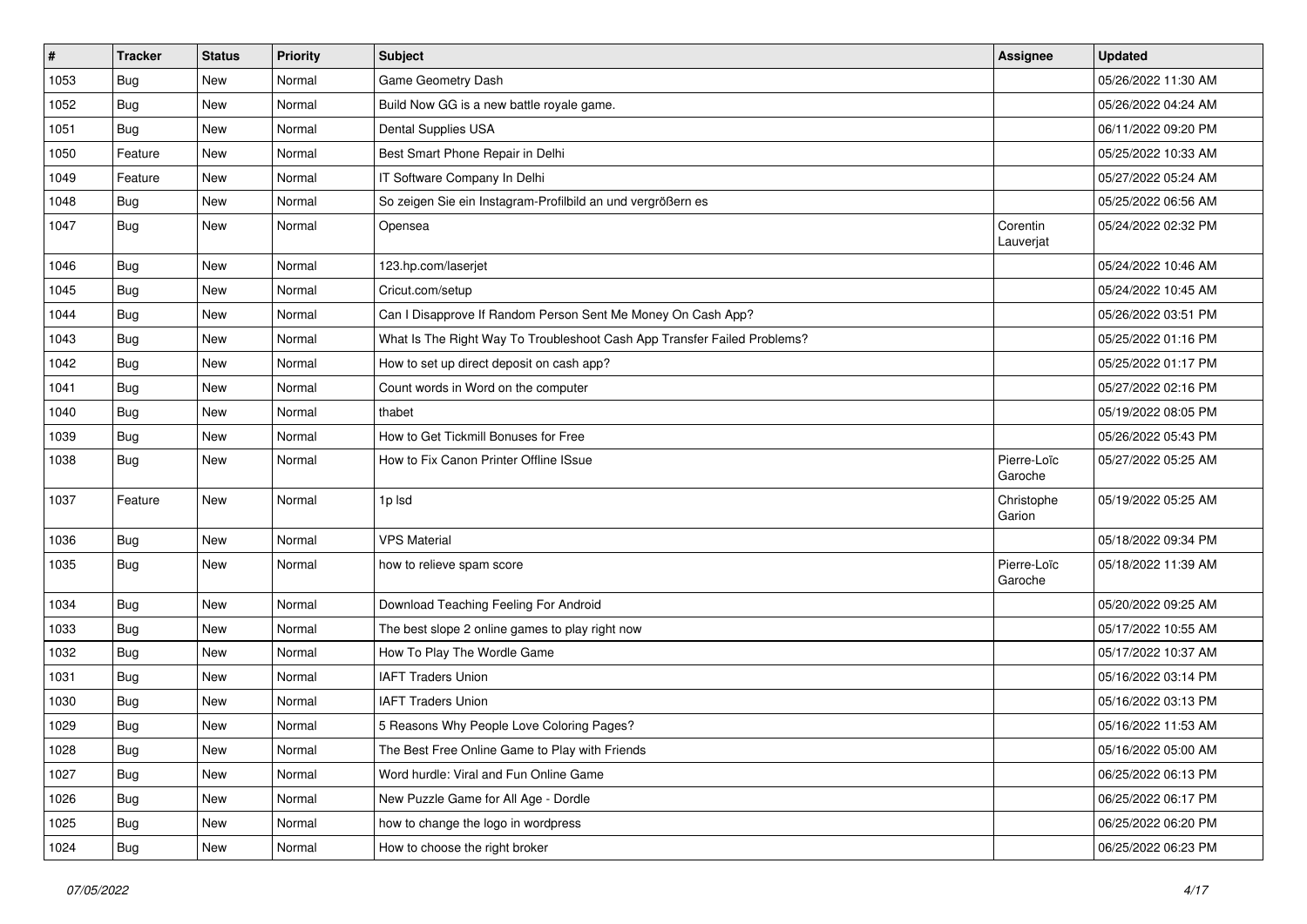| #    | <b>Tracker</b> | <b>Status</b> | <b>Priority</b> | <b>Subject</b>                                                           | <b>Assignee</b>        | <b>Updated</b>      |
|------|----------------|---------------|-----------------|--------------------------------------------------------------------------|------------------------|---------------------|
| 1053 | Bug            | New           | Normal          | Game Geometry Dash                                                       |                        | 05/26/2022 11:30 AM |
| 1052 | Bug            | <b>New</b>    | Normal          | Build Now GG is a new battle royale game.                                |                        | 05/26/2022 04:24 AM |
| 1051 | Bug            | New           | Normal          | Dental Supplies USA                                                      |                        | 06/11/2022 09:20 PM |
| 1050 | Feature        | New           | Normal          | Best Smart Phone Repair in Delhi                                         |                        | 05/25/2022 10:33 AM |
| 1049 | Feature        | New           | Normal          | IT Software Company In Delhi                                             |                        | 05/27/2022 05:24 AM |
| 1048 | Bug            | New           | Normal          | So zeigen Sie ein Instagram-Profilbild an und vergrößern es              |                        | 05/25/2022 06:56 AM |
| 1047 | Bug            | New           | Normal          | Opensea                                                                  | Corentin<br>Lauverjat  | 05/24/2022 02:32 PM |
| 1046 | Bug            | New           | Normal          | 123.hp.com/laserjet                                                      |                        | 05/24/2022 10:46 AM |
| 1045 | Bug            | <b>New</b>    | Normal          | Cricut.com/setup                                                         |                        | 05/24/2022 10:45 AM |
| 1044 | Bug            | New           | Normal          | Can I Disapprove If Random Person Sent Me Money On Cash App?             |                        | 05/26/2022 03:51 PM |
| 1043 | Bug            | New           | Normal          | What Is The Right Way To Troubleshoot Cash App Transfer Failed Problems? |                        | 05/25/2022 01:16 PM |
| 1042 | Bug            | New           | Normal          | How to set up direct deposit on cash app?                                |                        | 05/25/2022 01:17 PM |
| 1041 | Bug            | New           | Normal          | Count words in Word on the computer                                      |                        | 05/27/2022 02:16 PM |
| 1040 | Bug            | New           | Normal          | thabet                                                                   |                        | 05/19/2022 08:05 PM |
| 1039 | Bug            | New           | Normal          | How to Get Tickmill Bonuses for Free                                     |                        | 05/26/2022 05:43 PM |
| 1038 | Bug            | New           | Normal          | How to Fix Canon Printer Offline ISsue                                   | Pierre-Loïc<br>Garoche | 05/27/2022 05:25 AM |
| 1037 | Feature        | New           | Normal          | 1p lsd                                                                   | Christophe<br>Garion   | 05/19/2022 05:25 AM |
| 1036 | Bug            | New           | Normal          | <b>VPS Material</b>                                                      |                        | 05/18/2022 09:34 PM |
| 1035 | Bug            | New           | Normal          | how to relieve spam score                                                | Pierre-Loïc<br>Garoche | 05/18/2022 11:39 AM |
| 1034 | Bug            | New           | Normal          | Download Teaching Feeling For Android                                    |                        | 05/20/2022 09:25 AM |
| 1033 | Bug            | New           | Normal          | The best slope 2 online games to play right now                          |                        | 05/17/2022 10:55 AM |
| 1032 | Bug            | New           | Normal          | How To Play The Wordle Game                                              |                        | 05/17/2022 10:37 AM |
| 1031 | Bug            | New           | Normal          | <b>IAFT Traders Union</b>                                                |                        | 05/16/2022 03:14 PM |
| 1030 | Bug            | New           | Normal          | <b>IAFT Traders Union</b>                                                |                        | 05/16/2022 03:13 PM |
| 1029 | <b>Bug</b>     | New           | Normal          | 5 Reasons Why People Love Coloring Pages?                                |                        | 05/16/2022 11:53 AM |
| 1028 | <b>Bug</b>     | New           | Normal          | The Best Free Online Game to Play with Friends                           |                        | 05/16/2022 05:00 AM |
| 1027 | <b>Bug</b>     | New           | Normal          | Word hurdle: Viral and Fun Online Game                                   |                        | 06/25/2022 06:13 PM |
| 1026 | <b>Bug</b>     | New           | Normal          | New Puzzle Game for All Age - Dordle                                     |                        | 06/25/2022 06:17 PM |
| 1025 | <b>Bug</b>     | New           | Normal          | how to change the logo in wordpress                                      |                        | 06/25/2022 06:20 PM |
| 1024 | <b>Bug</b>     | New           | Normal          | How to choose the right broker                                           |                        | 06/25/2022 06:23 PM |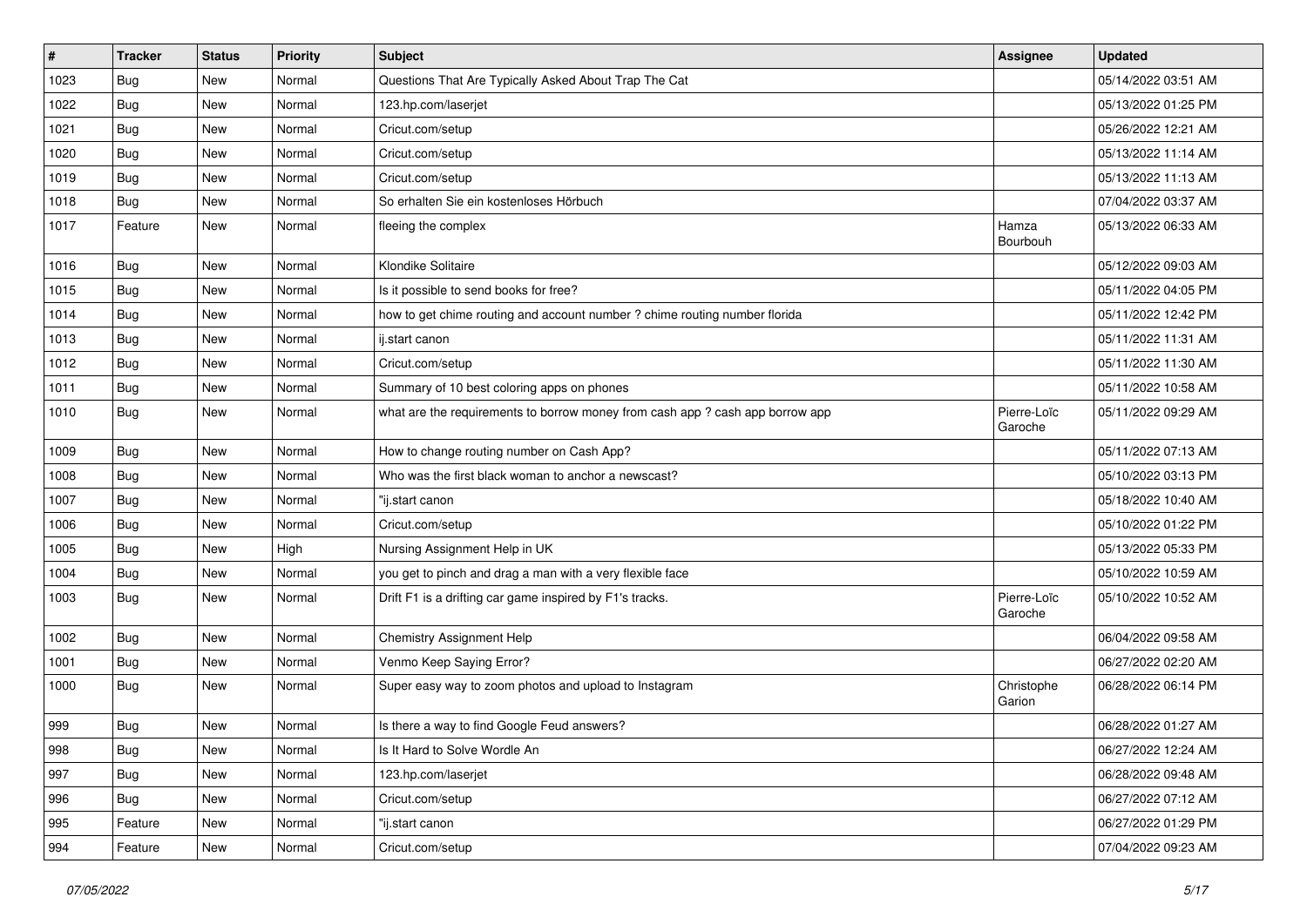| $\vert$ # | <b>Tracker</b> | <b>Status</b> | <b>Priority</b> | <b>Subject</b>                                                                | <b>Assignee</b>        | <b>Updated</b>      |
|-----------|----------------|---------------|-----------------|-------------------------------------------------------------------------------|------------------------|---------------------|
| 1023      | <b>Bug</b>     | New           | Normal          | Questions That Are Typically Asked About Trap The Cat                         |                        | 05/14/2022 03:51 AM |
| 1022      | Bug            | <b>New</b>    | Normal          | 123.hp.com/laserjet                                                           |                        | 05/13/2022 01:25 PM |
| 1021      | Bug            | New           | Normal          | Cricut.com/setup                                                              |                        | 05/26/2022 12:21 AM |
| 1020      | Bug            | New           | Normal          | Cricut.com/setup                                                              |                        | 05/13/2022 11:14 AM |
| 1019      | Bug            | <b>New</b>    | Normal          | Cricut.com/setup                                                              |                        | 05/13/2022 11:13 AM |
| 1018      | <b>Bug</b>     | New           | Normal          | So erhalten Sie ein kostenloses Hörbuch                                       |                        | 07/04/2022 03:37 AM |
| 1017      | Feature        | New           | Normal          | fleeing the complex                                                           | Hamza<br>Bourbouh      | 05/13/2022 06:33 AM |
| 1016      | Bug            | <b>New</b>    | Normal          | Klondike Solitaire                                                            |                        | 05/12/2022 09:03 AM |
| 1015      | Bug            | <b>New</b>    | Normal          | Is it possible to send books for free?                                        |                        | 05/11/2022 04:05 PM |
| 1014      | Bug            | New           | Normal          | how to get chime routing and account number ? chime routing number florida    |                        | 05/11/2022 12:42 PM |
| 1013      | Bug            | New           | Normal          | ij.start canon                                                                |                        | 05/11/2022 11:31 AM |
| 1012      | Bug            | <b>New</b>    | Normal          | Cricut.com/setup                                                              |                        | 05/11/2022 11:30 AM |
| 1011      | <b>Bug</b>     | New           | Normal          | Summary of 10 best coloring apps on phones                                    |                        | 05/11/2022 10:58 AM |
| 1010      | Bug            | New           | Normal          | what are the requirements to borrow money from cash app ? cash app borrow app | Pierre-Loïc<br>Garoche | 05/11/2022 09:29 AM |
| 1009      | Bug            | <b>New</b>    | Normal          | How to change routing number on Cash App?                                     |                        | 05/11/2022 07:13 AM |
| 1008      | Bug            | New           | Normal          | Who was the first black woman to anchor a newscast?                           |                        | 05/10/2022 03:13 PM |
| 1007      | <b>Bug</b>     | New           | Normal          | "ij.start canon                                                               |                        | 05/18/2022 10:40 AM |
| 1006      | <b>Bug</b>     | New           | Normal          | Cricut.com/setup                                                              |                        | 05/10/2022 01:22 PM |
| 1005      | Bug            | <b>New</b>    | High            | Nursing Assignment Help in UK                                                 |                        | 05/13/2022 05:33 PM |
| 1004      | Bug            | New           | Normal          | you get to pinch and drag a man with a very flexible face                     |                        | 05/10/2022 10:59 AM |
| 1003      | <b>Bug</b>     | New           | Normal          | Drift F1 is a drifting car game inspired by F1's tracks.                      | Pierre-Loïc<br>Garoche | 05/10/2022 10:52 AM |
| 1002      | Bug            | <b>New</b>    | Normal          | Chemistry Assignment Help                                                     |                        | 06/04/2022 09:58 AM |
| 1001      | Bug            | <b>New</b>    | Normal          | Venmo Keep Saying Error?                                                      |                        | 06/27/2022 02:20 AM |
| 1000      | <b>Bug</b>     | New           | Normal          | Super easy way to zoom photos and upload to Instagram                         | Christophe<br>Garion   | 06/28/2022 06:14 PM |
| 999       | <b>Bug</b>     | <b>New</b>    | Normal          | Is there a way to find Google Feud answers?                                   |                        | 06/28/2022 01:27 AM |
| 998       | Bug            | New           | Normal          | Is It Hard to Solve Wordle An                                                 |                        | 06/27/2022 12:24 AM |
| 997       | Bug            | New           | Normal          | 123.hp.com/laserjet                                                           |                        | 06/28/2022 09:48 AM |
| 996       | Bug            | New           | Normal          | Cricut.com/setup                                                              |                        | 06/27/2022 07:12 AM |
| 995       | Feature        | New           | Normal          | "ij.start canon                                                               |                        | 06/27/2022 01:29 PM |
| 994       | Feature        | New           | Normal          | Cricut.com/setup                                                              |                        | 07/04/2022 09:23 AM |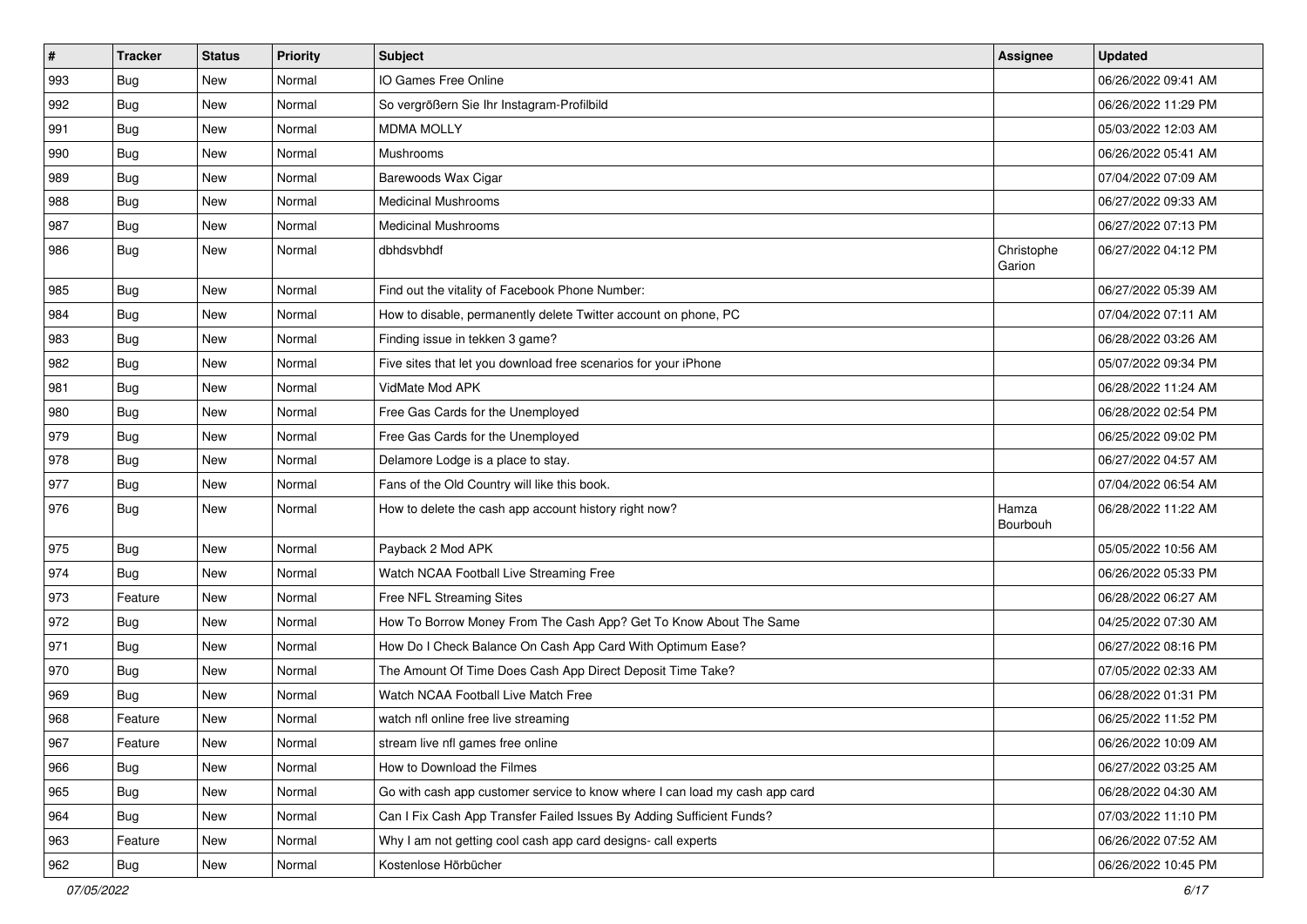| $\vert$ # | <b>Tracker</b> | <b>Status</b> | <b>Priority</b> | <b>Subject</b>                                                              | <b>Assignee</b>      | <b>Updated</b>      |
|-----------|----------------|---------------|-----------------|-----------------------------------------------------------------------------|----------------------|---------------------|
| 993       | <b>Bug</b>     | New           | Normal          | IO Games Free Online                                                        |                      | 06/26/2022 09:41 AM |
| 992       | Bug            | New           | Normal          | So vergrößern Sie Ihr Instagram-Profilbild                                  |                      | 06/26/2022 11:29 PM |
| 991       | Bug            | New           | Normal          | <b>MDMA MOLLY</b>                                                           |                      | 05/03/2022 12:03 AM |
| 990       | <b>Bug</b>     | New           | Normal          | <b>Mushrooms</b>                                                            |                      | 06/26/2022 05:41 AM |
| 989       | <b>Bug</b>     | <b>New</b>    | Normal          | Barewoods Wax Cigar                                                         |                      | 07/04/2022 07:09 AM |
| 988       | <b>Bug</b>     | New           | Normal          | <b>Medicinal Mushrooms</b>                                                  |                      | 06/27/2022 09:33 AM |
| 987       | Bug            | New           | Normal          | <b>Medicinal Mushrooms</b>                                                  |                      | 06/27/2022 07:13 PM |
| 986       | Bug            | New           | Normal          | dbhdsvbhdf                                                                  | Christophe<br>Garion | 06/27/2022 04:12 PM |
| 985       | Bug            | <b>New</b>    | Normal          | Find out the vitality of Facebook Phone Number:                             |                      | 06/27/2022 05:39 AM |
| 984       | Bug            | New           | Normal          | How to disable, permanently delete Twitter account on phone, PC             |                      | 07/04/2022 07:11 AM |
| 983       | <b>Bug</b>     | <b>New</b>    | Normal          | Finding issue in tekken 3 game?                                             |                      | 06/28/2022 03:26 AM |
| 982       | Bug            | <b>New</b>    | Normal          | Five sites that let you download free scenarios for your iPhone             |                      | 05/07/2022 09:34 PM |
| 981       | <b>Bug</b>     | New           | Normal          | VidMate Mod APK                                                             |                      | 06/28/2022 11:24 AM |
| 980       | Bug            | New           | Normal          | Free Gas Cards for the Unemployed                                           |                      | 06/28/2022 02:54 PM |
| 979       | Bug            | New           | Normal          | Free Gas Cards for the Unemployed                                           |                      | 06/25/2022 09:02 PM |
| 978       | <b>Bug</b>     | New           | Normal          | Delamore Lodge is a place to stay.                                          |                      | 06/27/2022 04:57 AM |
| 977       | Bug            | <b>New</b>    | Normal          | Fans of the Old Country will like this book.                                |                      | 07/04/2022 06:54 AM |
| 976       | Bug            | New           | Normal          | How to delete the cash app account history right now?                       | Hamza<br>Bourbouh    | 06/28/2022 11:22 AM |
| 975       | Bug            | <b>New</b>    | Normal          | Payback 2 Mod APK                                                           |                      | 05/05/2022 10:56 AM |
| 974       | Bug            | <b>New</b>    | Normal          | Watch NCAA Football Live Streaming Free                                     |                      | 06/26/2022 05:33 PM |
| 973       | Feature        | New           | Normal          | Free NFL Streaming Sites                                                    |                      | 06/28/2022 06:27 AM |
| 972       | <b>Bug</b>     | New           | Normal          | How To Borrow Money From The Cash App? Get To Know About The Same           |                      | 04/25/2022 07:30 AM |
| 971       | <b>Bug</b>     | New           | Normal          | How Do I Check Balance On Cash App Card With Optimum Ease?                  |                      | 06/27/2022 08:16 PM |
| 970       | Bug            | <b>New</b>    | Normal          | The Amount Of Time Does Cash App Direct Deposit Time Take?                  |                      | 07/05/2022 02:33 AM |
| 969       | <b>Bug</b>     | New           | Normal          | Watch NCAA Football Live Match Free                                         |                      | 06/28/2022 01:31 PM |
| 968       | Feature        | New           | Normal          | watch nfl online free live streaming                                        |                      | 06/25/2022 11:52 PM |
| 967       | Feature        | New           | Normal          | stream live nfl games free online                                           |                      | 06/26/2022 10:09 AM |
| 966       | Bug            | New           | Normal          | How to Download the Filmes                                                  |                      | 06/27/2022 03:25 AM |
| 965       | Bug            | New           | Normal          | Go with cash app customer service to know where I can load my cash app card |                      | 06/28/2022 04:30 AM |
| 964       | <b>Bug</b>     | New           | Normal          | Can I Fix Cash App Transfer Failed Issues By Adding Sufficient Funds?       |                      | 07/03/2022 11:10 PM |
| 963       | Feature        | New           | Normal          | Why I am not getting cool cash app card designs- call experts               |                      | 06/26/2022 07:52 AM |
| 962       | <b>Bug</b>     | New           | Normal          | Kostenlose Hörbücher                                                        |                      | 06/26/2022 10:45 PM |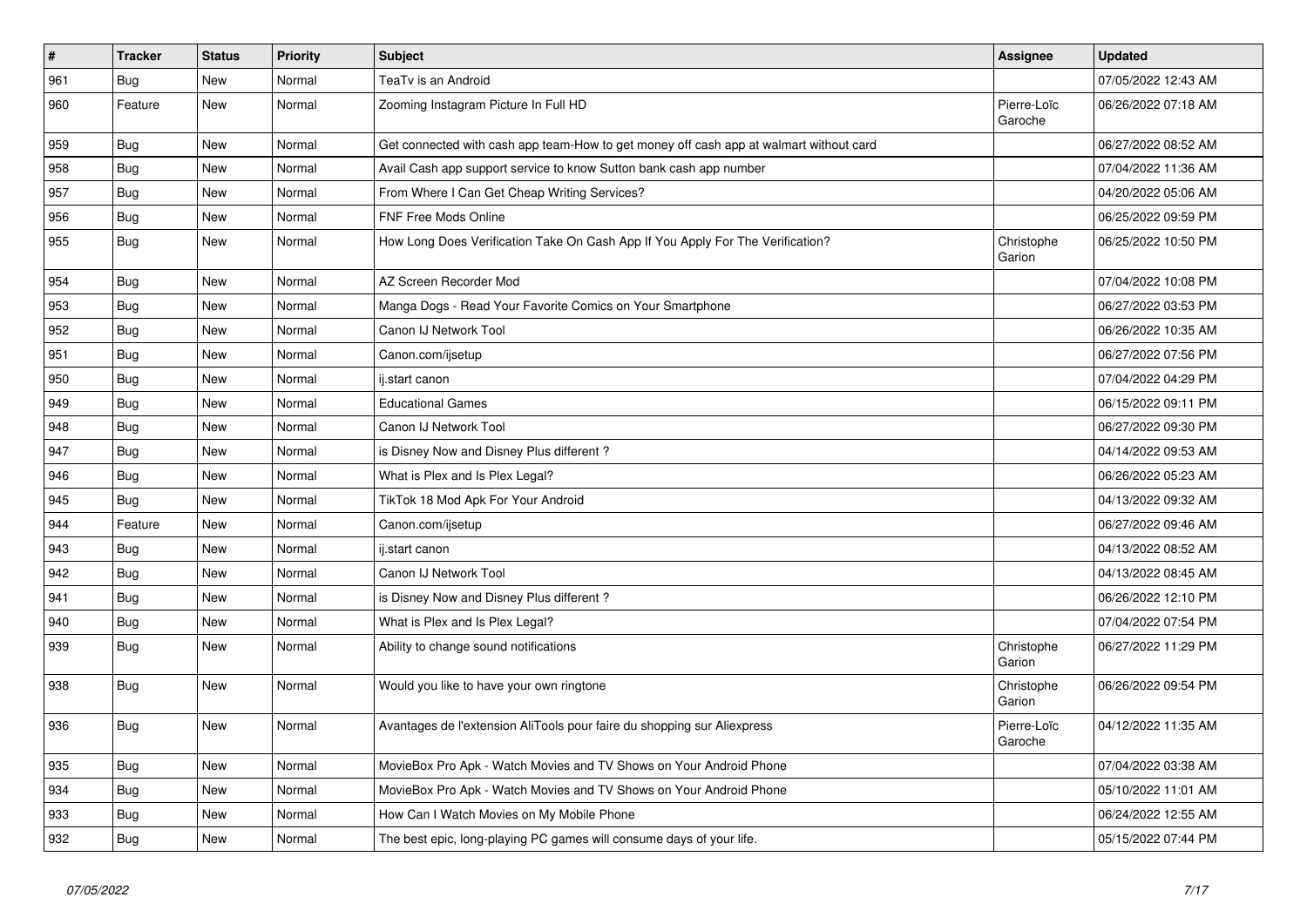| $\sharp$ | <b>Tracker</b> | <b>Status</b> | <b>Priority</b> | <b>Subject</b>                                                                         | Assignee               | <b>Updated</b>      |
|----------|----------------|---------------|-----------------|----------------------------------------------------------------------------------------|------------------------|---------------------|
| 961      | <b>Bug</b>     | <b>New</b>    | Normal          | TeaTv is an Android                                                                    |                        | 07/05/2022 12:43 AM |
| 960      | Feature        | <b>New</b>    | Normal          | Zooming Instagram Picture In Full HD                                                   | Pierre-Loïc<br>Garoche | 06/26/2022 07:18 AM |
| 959      | <b>Bug</b>     | New           | Normal          | Get connected with cash app team-How to get money off cash app at walmart without card |                        | 06/27/2022 08:52 AM |
| 958      | <b>Bug</b>     | <b>New</b>    | Normal          | Avail Cash app support service to know Sutton bank cash app number                     |                        | 07/04/2022 11:36 AM |
| 957      | Bug            | <b>New</b>    | Normal          | From Where I Can Get Cheap Writing Services?                                           |                        | 04/20/2022 05:06 AM |
| 956      | Bug            | New           | Normal          | FNF Free Mods Online                                                                   |                        | 06/25/2022 09:59 PM |
| 955      | Bug            | New           | Normal          | How Long Does Verification Take On Cash App If You Apply For The Verification?         | Christophe<br>Garion   | 06/25/2022 10:50 PM |
| 954      | Bug            | New           | Normal          | AZ Screen Recorder Mod                                                                 |                        | 07/04/2022 10:08 PM |
| 953      | Bug            | New           | Normal          | Manga Dogs - Read Your Favorite Comics on Your Smartphone                              |                        | 06/27/2022 03:53 PM |
| 952      | <b>Bug</b>     | New           | Normal          | Canon IJ Network Tool                                                                  |                        | 06/26/2022 10:35 AM |
| 951      | Bug            | New           | Normal          | Canon.com/ijsetup                                                                      |                        | 06/27/2022 07:56 PM |
| 950      | Bug            | New           | Normal          | ij.start canon                                                                         |                        | 07/04/2022 04:29 PM |
| 949      | Bug            | New           | Normal          | <b>Educational Games</b>                                                               |                        | 06/15/2022 09:11 PM |
| 948      | Bug            | New           | Normal          | Canon IJ Network Tool                                                                  |                        | 06/27/2022 09:30 PM |
| 947      | Bug            | New           | Normal          | is Disney Now and Disney Plus different?                                               |                        | 04/14/2022 09:53 AM |
| 946      | Bug            | New           | Normal          | What is Plex and Is Plex Legal?                                                        |                        | 06/26/2022 05:23 AM |
| 945      | Bug            | New           | Normal          | TikTok 18 Mod Apk For Your Android                                                     |                        | 04/13/2022 09:32 AM |
| 944      | Feature        | <b>New</b>    | Normal          | Canon.com/ijsetup                                                                      |                        | 06/27/2022 09:46 AM |
| 943      | <b>Bug</b>     | New           | Normal          | ij.start canon                                                                         |                        | 04/13/2022 08:52 AM |
| 942      | Bug            | New           | Normal          | Canon IJ Network Tool                                                                  |                        | 04/13/2022 08:45 AM |
| 941      | Bug            | <b>New</b>    | Normal          | is Disney Now and Disney Plus different?                                               |                        | 06/26/2022 12:10 PM |
| 940      | Bug            | New           | Normal          | What is Plex and Is Plex Legal?                                                        |                        | 07/04/2022 07:54 PM |
| 939      | Bug            | New           | Normal          | Ability to change sound notifications                                                  | Christophe<br>Garion   | 06/27/2022 11:29 PM |
| 938      | Bug            | New           | Normal          | Would you like to have your own ringtone                                               | Christophe<br>Garion   | 06/26/2022 09:54 PM |
| 936      | Bug            | New           | Normal          | Avantages de l'extension AliTools pour faire du shopping sur Aliexpress                | Pierre-Loïc<br>Garoche | 04/12/2022 11:35 AM |
| 935      | Bug            | New           | Normal          | MovieBox Pro Apk - Watch Movies and TV Shows on Your Android Phone                     |                        | 07/04/2022 03:38 AM |
| 934      | Bug            | <b>New</b>    | Normal          | MovieBox Pro Apk - Watch Movies and TV Shows on Your Android Phone                     |                        | 05/10/2022 11:01 AM |
| 933      | Bug            | <b>New</b>    | Normal          | How Can I Watch Movies on My Mobile Phone                                              |                        | 06/24/2022 12:55 AM |
| 932      | <b>Bug</b>     | <b>New</b>    | Normal          | The best epic, long-playing PC games will consume days of your life.                   |                        | 05/15/2022 07:44 PM |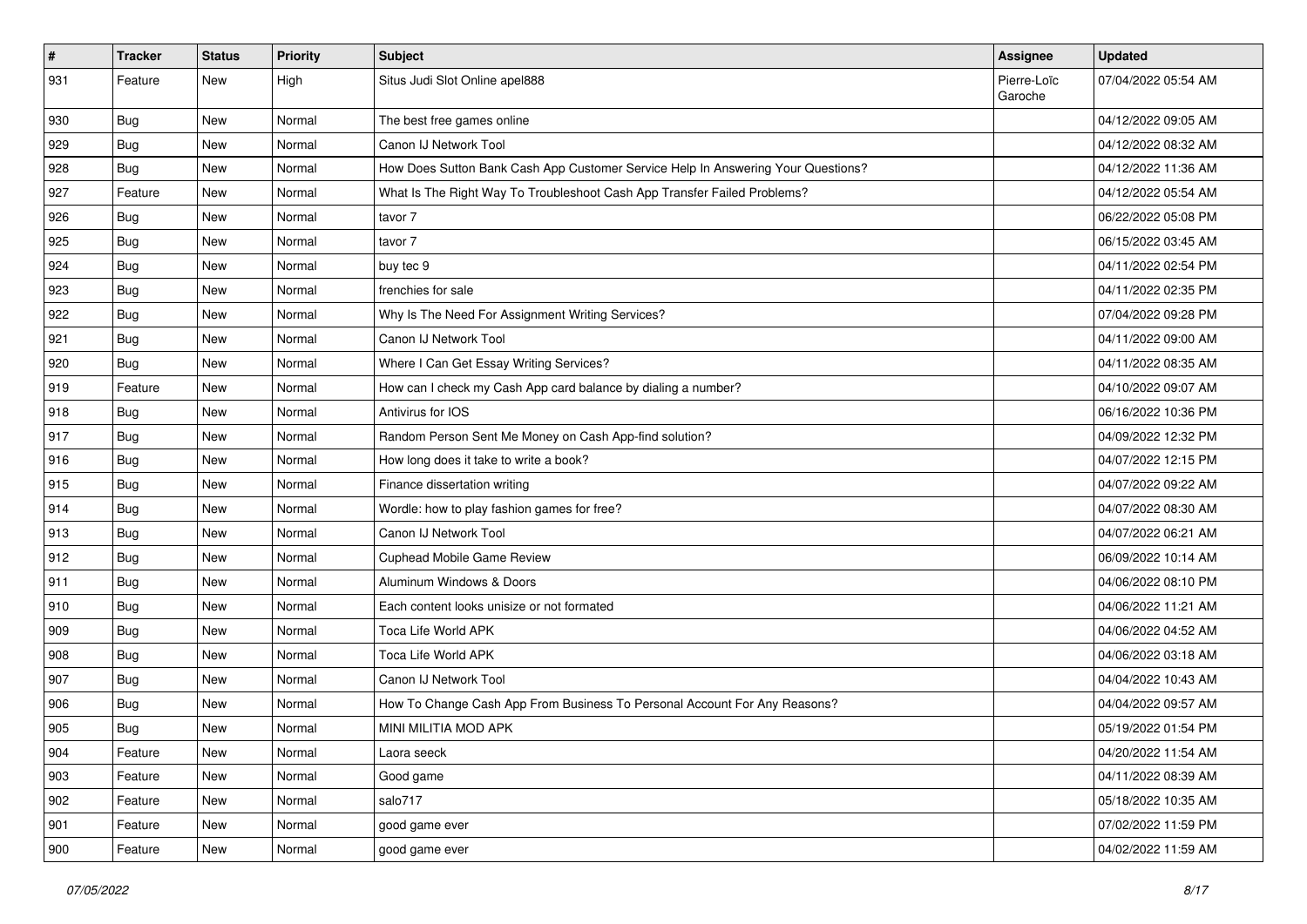| #   | Tracker    | <b>Status</b> | <b>Priority</b> | <b>Subject</b>                                                                   | Assignee               | <b>Updated</b>      |
|-----|------------|---------------|-----------------|----------------------------------------------------------------------------------|------------------------|---------------------|
| 931 | Feature    | New           | High            | Situs Judi Slot Online apel888                                                   | Pierre-Loïc<br>Garoche | 07/04/2022 05:54 AM |
| 930 | <b>Bug</b> | New           | Normal          | The best free games online                                                       |                        | 04/12/2022 09:05 AM |
| 929 | Bug        | New           | Normal          | Canon IJ Network Tool                                                            |                        | 04/12/2022 08:32 AM |
| 928 | Bug        | New           | Normal          | How Does Sutton Bank Cash App Customer Service Help In Answering Your Questions? |                        | 04/12/2022 11:36 AM |
| 927 | Feature    | New           | Normal          | What Is The Right Way To Troubleshoot Cash App Transfer Failed Problems?         |                        | 04/12/2022 05:54 AM |
| 926 | <b>Bug</b> | New           | Normal          | tavor 7                                                                          |                        | 06/22/2022 05:08 PM |
| 925 | Bug        | New           | Normal          | tavor 7                                                                          |                        | 06/15/2022 03:45 AM |
| 924 | <b>Bug</b> | New           | Normal          | buy tec 9                                                                        |                        | 04/11/2022 02:54 PM |
| 923 | Bug        | New           | Normal          | frenchies for sale                                                               |                        | 04/11/2022 02:35 PM |
| 922 | <b>Bug</b> | New           | Normal          | Why Is The Need For Assignment Writing Services?                                 |                        | 07/04/2022 09:28 PM |
| 921 | Bug        | New           | Normal          | Canon IJ Network Tool                                                            |                        | 04/11/2022 09:00 AM |
| 920 | Bug        | New           | Normal          | Where I Can Get Essay Writing Services?                                          |                        | 04/11/2022 08:35 AM |
| 919 | Feature    | New           | Normal          | How can I check my Cash App card balance by dialing a number?                    |                        | 04/10/2022 09:07 AM |
| 918 | Bug        | New           | Normal          | Antivirus for IOS                                                                |                        | 06/16/2022 10:36 PM |
| 917 | Bug        | New           | Normal          | Random Person Sent Me Money on Cash App-find solution?                           |                        | 04/09/2022 12:32 PM |
| 916 | <b>Bug</b> | New           | Normal          | How long does it take to write a book?                                           |                        | 04/07/2022 12:15 PM |
| 915 | Bug        | New           | Normal          | Finance dissertation writing                                                     |                        | 04/07/2022 09:22 AM |
| 914 | <b>Bug</b> | New           | Normal          | Wordle: how to play fashion games for free?                                      |                        | 04/07/2022 08:30 AM |
| 913 | <b>Bug</b> | <b>New</b>    | Normal          | Canon IJ Network Tool                                                            |                        | 04/07/2022 06:21 AM |
| 912 | Bug        | New           | Normal          | <b>Cuphead Mobile Game Review</b>                                                |                        | 06/09/2022 10:14 AM |
| 911 | <b>Bug</b> | New           | Normal          | Aluminum Windows & Doors                                                         |                        | 04/06/2022 08:10 PM |
| 910 | Bug        | New           | Normal          | Each content looks unisize or not formated                                       |                        | 04/06/2022 11:21 AM |
| 909 | <b>Bug</b> | New           | Normal          | Toca Life World APK                                                              |                        | 04/06/2022 04:52 AM |
| 908 | Bug        | New           | Normal          | Toca Life World APK                                                              |                        | 04/06/2022 03:18 AM |
| 907 | <b>Bug</b> | New           | Normal          | Canon IJ Network Tool                                                            |                        | 04/04/2022 10:43 AM |
| 906 | <b>Bug</b> | New           | Normal          | How To Change Cash App From Business To Personal Account For Any Reasons?        |                        | 04/04/2022 09:57 AM |
| 905 | <b>Bug</b> | New           | Normal          | MINI MILITIA MOD APK                                                             |                        | 05/19/2022 01:54 PM |
| 904 | Feature    | New           | Normal          | Laora seeck                                                                      |                        | 04/20/2022 11:54 AM |
| 903 | Feature    | New           | Normal          | Good game                                                                        |                        | 04/11/2022 08:39 AM |
| 902 | Feature    | New           | Normal          | salo717                                                                          |                        | 05/18/2022 10:35 AM |
| 901 | Feature    | New           | Normal          | good game ever                                                                   |                        | 07/02/2022 11:59 PM |
| 900 | Feature    | New           | Normal          | good game ever                                                                   |                        | 04/02/2022 11:59 AM |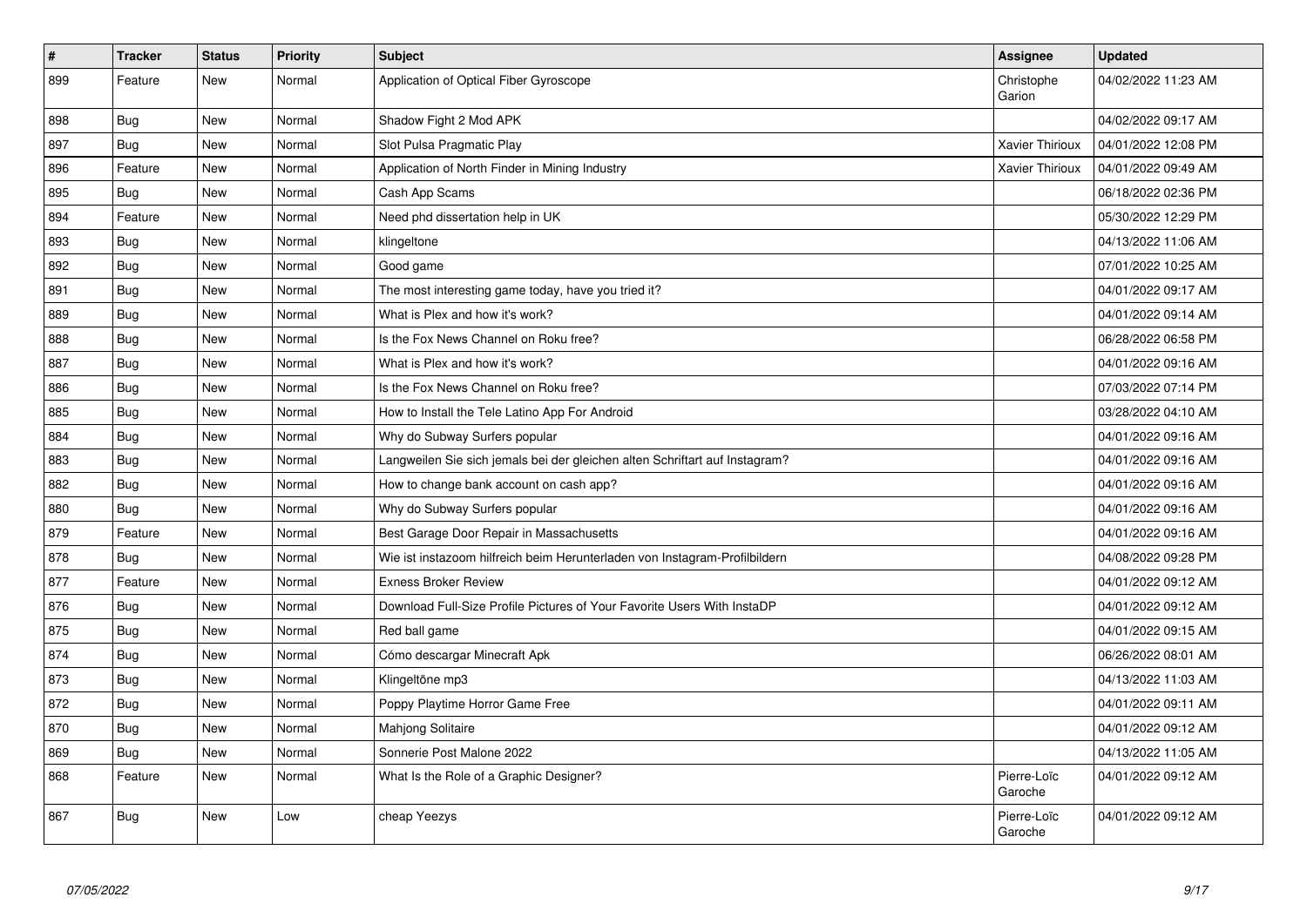| $\sharp$ | <b>Tracker</b> | <b>Status</b> | <b>Priority</b> | <b>Subject</b>                                                              | <b>Assignee</b>        | <b>Updated</b>      |
|----------|----------------|---------------|-----------------|-----------------------------------------------------------------------------|------------------------|---------------------|
| 899      | Feature        | New           | Normal          | Application of Optical Fiber Gyroscope                                      | Christophe<br>Garion   | 04/02/2022 11:23 AM |
| 898      | Bug            | New           | Normal          | Shadow Fight 2 Mod APK                                                      |                        | 04/02/2022 09:17 AM |
| 897      | Bug            | New           | Normal          | Slot Pulsa Pragmatic Play                                                   | Xavier Thirioux        | 04/01/2022 12:08 PM |
| 896      | Feature        | New           | Normal          | Application of North Finder in Mining Industry                              | Xavier Thirioux        | 04/01/2022 09:49 AM |
| 895      | Bug            | New           | Normal          | Cash App Scams                                                              |                        | 06/18/2022 02:36 PM |
| 894      | Feature        | New           | Normal          | Need phd dissertation help in UK                                            |                        | 05/30/2022 12:29 PM |
| 893      | <b>Bug</b>     | <b>New</b>    | Normal          | klingeltone                                                                 |                        | 04/13/2022 11:06 AM |
| 892      | Bug            | New           | Normal          | Good game                                                                   |                        | 07/01/2022 10:25 AM |
| 891      | <b>Bug</b>     | New           | Normal          | The most interesting game today, have you tried it?                         |                        | 04/01/2022 09:17 AM |
| 889      | Bug            | New           | Normal          | What is Plex and how it's work?                                             |                        | 04/01/2022 09:14 AM |
| 888      | <b>Bug</b>     | New           | Normal          | Is the Fox News Channel on Roku free?                                       |                        | 06/28/2022 06:58 PM |
| 887      | <b>Bug</b>     | New           | Normal          | What is Plex and how it's work?                                             |                        | 04/01/2022 09:16 AM |
| 886      | Bug            | New           | Normal          | Is the Fox News Channel on Roku free?                                       |                        | 07/03/2022 07:14 PM |
| 885      | <b>Bug</b>     | New           | Normal          | How to Install the Tele Latino App For Android                              |                        | 03/28/2022 04:10 AM |
| 884      | Bug            | New           | Normal          | Why do Subway Surfers popular                                               |                        | 04/01/2022 09:16 AM |
| 883      | <b>Bug</b>     | New           | Normal          | Langweilen Sie sich jemals bei der gleichen alten Schriftart auf Instagram? |                        | 04/01/2022 09:16 AM |
| 882      | Bug            | New           | Normal          | How to change bank account on cash app?                                     |                        | 04/01/2022 09:16 AM |
| 880      | Bug            | <b>New</b>    | Normal          | Why do Subway Surfers popular                                               |                        | 04/01/2022 09:16 AM |
| 879      | Feature        | New           | Normal          | Best Garage Door Repair in Massachusetts                                    |                        | 04/01/2022 09:16 AM |
| 878      | Bug            | New           | Normal          | Wie ist instazoom hilfreich beim Herunterladen von Instagram-Profilbildern  |                        | 04/08/2022 09:28 PM |
| 877      | Feature        | New           | Normal          | <b>Exness Broker Review</b>                                                 |                        | 04/01/2022 09:12 AM |
| 876      | Bug            | <b>New</b>    | Normal          | Download Full-Size Profile Pictures of Your Favorite Users With InstaDP     |                        | 04/01/2022 09:12 AM |
| 875      | <b>Bug</b>     | New           | Normal          | Red ball game                                                               |                        | 04/01/2022 09:15 AM |
| 874      | Bug            | New           | Normal          | Cómo descargar Minecraft Apk                                                |                        | 06/26/2022 08:01 AM |
| 873      | <b>Bug</b>     | New           | Normal          | Klingeltöne mp3                                                             |                        | 04/13/2022 11:03 AM |
| 872      | Bug            | New           | Normal          | Poppy Playtime Horror Game Free                                             |                        | 04/01/2022 09:11 AM |
| 870      | <b>Bug</b>     | New           | Normal          | <b>Mahjong Solitaire</b>                                                    |                        | 04/01/2022 09:12 AM |
| 869      | Bug            | New           | Normal          | Sonnerie Post Malone 2022                                                   |                        | 04/13/2022 11:05 AM |
| 868      | Feature        | <b>New</b>    | Normal          | What Is the Role of a Graphic Designer?                                     | Pierre-Loïc<br>Garoche | 04/01/2022 09:12 AM |
| 867      | Bug            | New           | Low             | cheap Yeezys                                                                | Pierre-Loïc<br>Garoche | 04/01/2022 09:12 AM |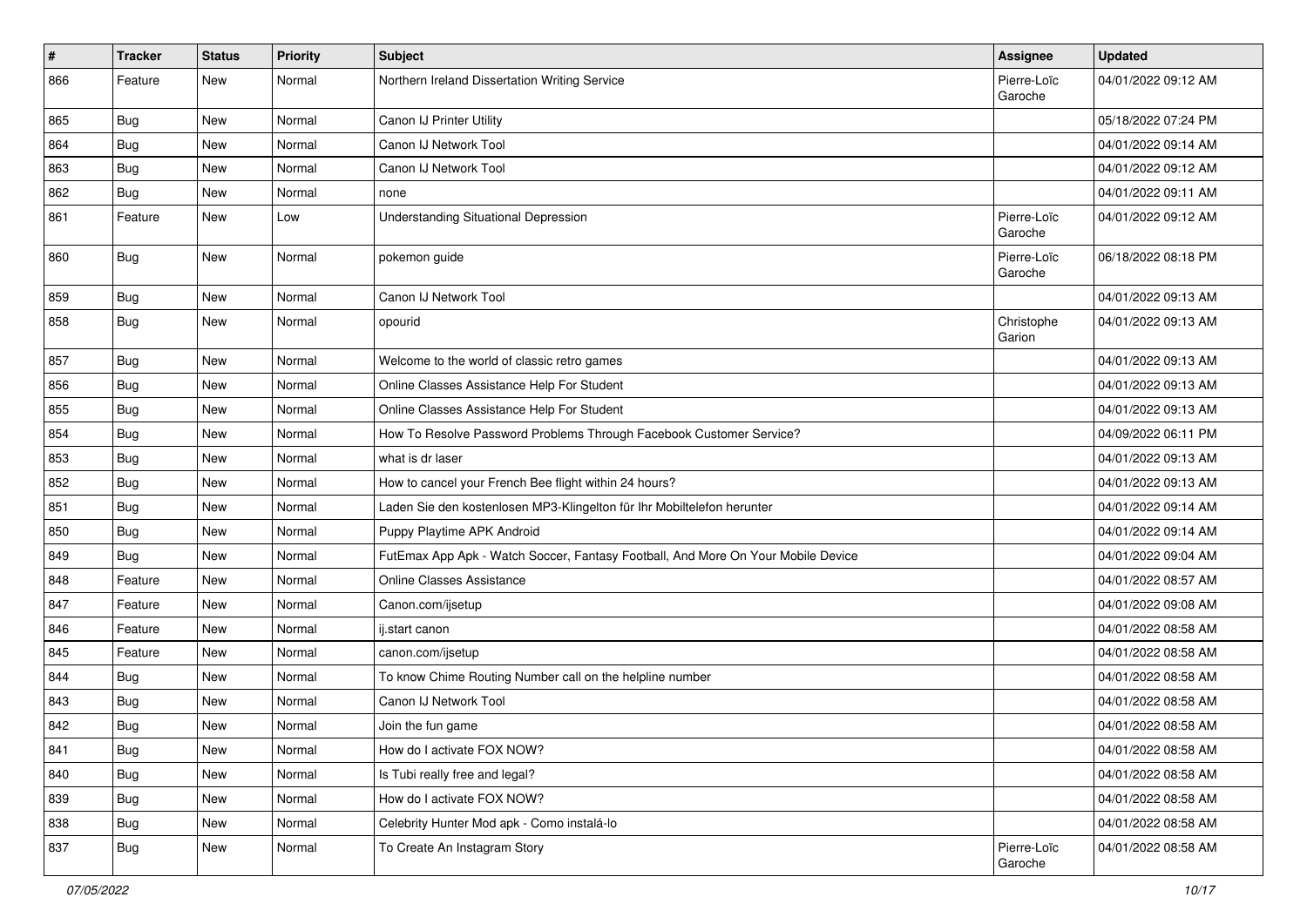| $\vert$ # | <b>Tracker</b> | <b>Status</b> | <b>Priority</b> | <b>Subject</b>                                                                   | <b>Assignee</b>        | <b>Updated</b>      |
|-----------|----------------|---------------|-----------------|----------------------------------------------------------------------------------|------------------------|---------------------|
| 866       | Feature        | New           | Normal          | Northern Ireland Dissertation Writing Service                                    | Pierre-Loïc<br>Garoche | 04/01/2022 09:12 AM |
| 865       | Bug            | New           | Normal          | Canon IJ Printer Utility                                                         |                        | 05/18/2022 07:24 PM |
| 864       | <b>Bug</b>     | New           | Normal          | Canon IJ Network Tool                                                            |                        | 04/01/2022 09:14 AM |
| 863       | Bug            | New           | Normal          | Canon IJ Network Tool                                                            |                        | 04/01/2022 09:12 AM |
| 862       | <b>Bug</b>     | New           | Normal          | none                                                                             |                        | 04/01/2022 09:11 AM |
| 861       | Feature        | New           | Low             | <b>Understanding Situational Depression</b>                                      | Pierre-Loïc<br>Garoche | 04/01/2022 09:12 AM |
| 860       | Bug            | New           | Normal          | pokemon guide                                                                    | Pierre-Loïc<br>Garoche | 06/18/2022 08:18 PM |
| 859       | Bug            | New           | Normal          | Canon IJ Network Tool                                                            |                        | 04/01/2022 09:13 AM |
| 858       | <b>Bug</b>     | New           | Normal          | opourid                                                                          | Christophe<br>Garion   | 04/01/2022 09:13 AM |
| 857       | Bug            | New           | Normal          | Welcome to the world of classic retro games                                      |                        | 04/01/2022 09:13 AM |
| 856       | Bug            | New           | Normal          | Online Classes Assistance Help For Student                                       |                        | 04/01/2022 09:13 AM |
| 855       | Bug            | New           | Normal          | Online Classes Assistance Help For Student                                       |                        | 04/01/2022 09:13 AM |
| 854       | Bug            | New           | Normal          | How To Resolve Password Problems Through Facebook Customer Service?              |                        | 04/09/2022 06:11 PM |
| 853       | Bug            | <b>New</b>    | Normal          | what is dr laser                                                                 |                        | 04/01/2022 09:13 AM |
| 852       | Bug            | New           | Normal          | How to cancel your French Bee flight within 24 hours?                            |                        | 04/01/2022 09:13 AM |
| 851       | <b>Bug</b>     | New           | Normal          | Laden Sie den kostenlosen MP3-Klingelton für Ihr Mobiltelefon herunter           |                        | 04/01/2022 09:14 AM |
| 850       | Bug            | New           | Normal          | Puppy Playtime APK Android                                                       |                        | 04/01/2022 09:14 AM |
| 849       | <b>Bug</b>     | New           | Normal          | FutEmax App Apk - Watch Soccer, Fantasy Football, And More On Your Mobile Device |                        | 04/01/2022 09:04 AM |
| 848       | Feature        | New           | Normal          | <b>Online Classes Assistance</b>                                                 |                        | 04/01/2022 08:57 AM |
| 847       | Feature        | New           | Normal          | Canon.com/ijsetup                                                                |                        | 04/01/2022 09:08 AM |
| 846       | Feature        | New           | Normal          | ij.start canon                                                                   |                        | 04/01/2022 08:58 AM |
| 845       | Feature        | New           | Normal          | canon.com/ijsetup                                                                |                        | 04/01/2022 08:58 AM |
| 844       | <b>Bug</b>     | New           | Normal          | To know Chime Routing Number call on the helpline number                         |                        | 04/01/2022 08:58 AM |
| 843       | <b>Bug</b>     | New           | Normal          | Canon IJ Network Tool                                                            |                        | 04/01/2022 08:58 AM |
| 842       | <b>Bug</b>     | New           | Normal          | Join the fun game                                                                |                        | 04/01/2022 08:58 AM |
| 841       | <b>Bug</b>     | New           | Normal          | How do I activate FOX NOW?                                                       |                        | 04/01/2022 08:58 AM |
| 840       | <b>Bug</b>     | New           | Normal          | Is Tubi really free and legal?                                                   |                        | 04/01/2022 08:58 AM |
| 839       | Bug            | New           | Normal          | How do I activate FOX NOW?                                                       |                        | 04/01/2022 08:58 AM |
| 838       | <b>Bug</b>     | New           | Normal          | Celebrity Hunter Mod apk - Como instalá-lo                                       |                        | 04/01/2022 08:58 AM |
| 837       | <b>Bug</b>     | New           | Normal          | To Create An Instagram Story                                                     | Pierre-Loïc<br>Garoche | 04/01/2022 08:58 AM |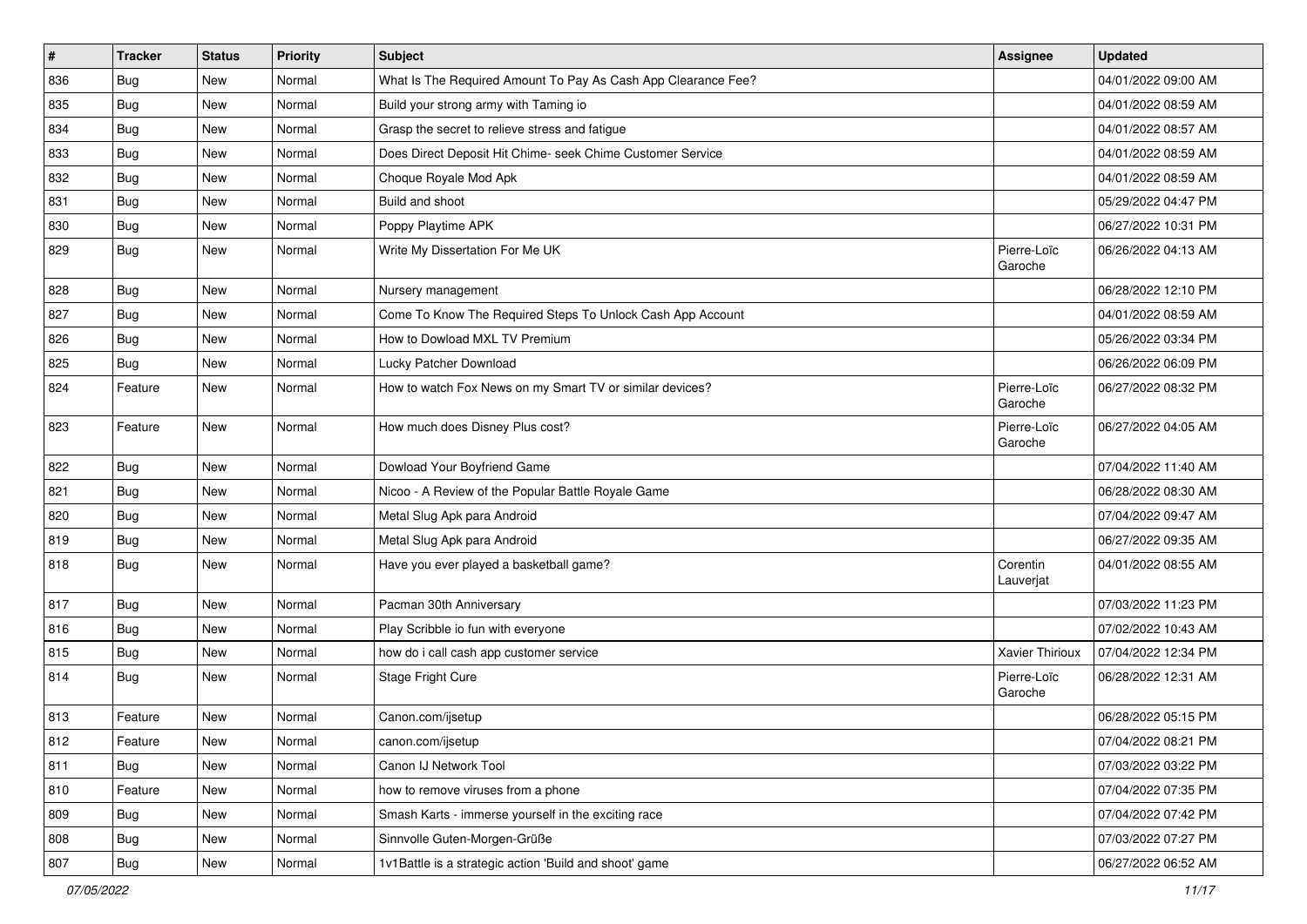| #   | <b>Tracker</b> | <b>Status</b> | <b>Priority</b> | <b>Subject</b>                                                | <b>Assignee</b>        | <b>Updated</b>      |
|-----|----------------|---------------|-----------------|---------------------------------------------------------------|------------------------|---------------------|
| 836 | <b>Bug</b>     | New           | Normal          | What Is The Required Amount To Pay As Cash App Clearance Fee? |                        | 04/01/2022 09:00 AM |
| 835 | Bug            | New           | Normal          | Build your strong army with Taming io                         |                        | 04/01/2022 08:59 AM |
| 834 | Bug            | New           | Normal          | Grasp the secret to relieve stress and fatigue                |                        | 04/01/2022 08:57 AM |
| 833 | <b>Bug</b>     | New           | Normal          | Does Direct Deposit Hit Chime- seek Chime Customer Service    |                        | 04/01/2022 08:59 AM |
| 832 | Bug            | New           | Normal          | Choque Royale Mod Apk                                         |                        | 04/01/2022 08:59 AM |
| 831 | <b>Bug</b>     | New           | Normal          | Build and shoot                                               |                        | 05/29/2022 04:47 PM |
| 830 | Bug            | New           | Normal          | Poppy Playtime APK                                            |                        | 06/27/2022 10:31 PM |
| 829 | Bug            | New           | Normal          | Write My Dissertation For Me UK                               | Pierre-Loïc<br>Garoche | 06/26/2022 04:13 AM |
| 828 | Bug            | New           | Normal          | Nursery management                                            |                        | 06/28/2022 12:10 PM |
| 827 | Bug            | New           | Normal          | Come To Know The Required Steps To Unlock Cash App Account    |                        | 04/01/2022 08:59 AM |
| 826 | <b>Bug</b>     | New           | Normal          | How to Dowload MXL TV Premium                                 |                        | 05/26/2022 03:34 PM |
| 825 | Bug            | New           | Normal          | Lucky Patcher Download                                        |                        | 06/26/2022 06:09 PM |
| 824 | Feature        | New           | Normal          | How to watch Fox News on my Smart TV or similar devices?      | Pierre-Loïc<br>Garoche | 06/27/2022 08:32 PM |
| 823 | Feature        | New           | Normal          | How much does Disney Plus cost?                               | Pierre-Loïc<br>Garoche | 06/27/2022 04:05 AM |
| 822 | Bug            | New           | Normal          | Dowload Your Boyfriend Game                                   |                        | 07/04/2022 11:40 AM |
| 821 | Bug            | New           | Normal          | Nicoo - A Review of the Popular Battle Royale Game            |                        | 06/28/2022 08:30 AM |
| 820 | <b>Bug</b>     | New           | Normal          | Metal Slug Apk para Android                                   |                        | 07/04/2022 09:47 AM |
| 819 | Bug            | New           | Normal          | Metal Slug Apk para Android                                   |                        | 06/27/2022 09:35 AM |
| 818 | <b>Bug</b>     | New           | Normal          | Have you ever played a basketball game?                       | Corentin<br>Lauverjat  | 04/01/2022 08:55 AM |
| 817 | Bug            | New           | Normal          | Pacman 30th Anniversary                                       |                        | 07/03/2022 11:23 PM |
| 816 | Bug            | New           | Normal          | Play Scribble io fun with everyone                            |                        | 07/02/2022 10:43 AM |
| 815 | Bug            | New           | Normal          | how do i call cash app customer service                       | Xavier Thirioux        | 07/04/2022 12:34 PM |
| 814 | Bug            | New           | Normal          | Stage Fright Cure                                             | Pierre-Loïc<br>Garoche | 06/28/2022 12:31 AM |
| 813 | Feature        | New           | Normal          | Canon.com/ijsetup                                             |                        | 06/28/2022 05:15 PM |
| 812 | Feature        | New           | Normal          | canon.com/ijsetup                                             |                        | 07/04/2022 08:21 PM |
| 811 | Bug            | New           | Normal          | Canon IJ Network Tool                                         |                        | 07/03/2022 03:22 PM |
| 810 | Feature        | New           | Normal          | how to remove viruses from a phone                            |                        | 07/04/2022 07:35 PM |
| 809 | Bug            | New           | Normal          | Smash Karts - immerse yourself in the exciting race           |                        | 07/04/2022 07:42 PM |
| 808 | Bug            | New           | Normal          | Sinnvolle Guten-Morgen-Grüße                                  |                        | 07/03/2022 07:27 PM |
| 807 | <b>Bug</b>     | New           | Normal          | 1v1Battle is a strategic action 'Build and shoot' game        |                        | 06/27/2022 06:52 AM |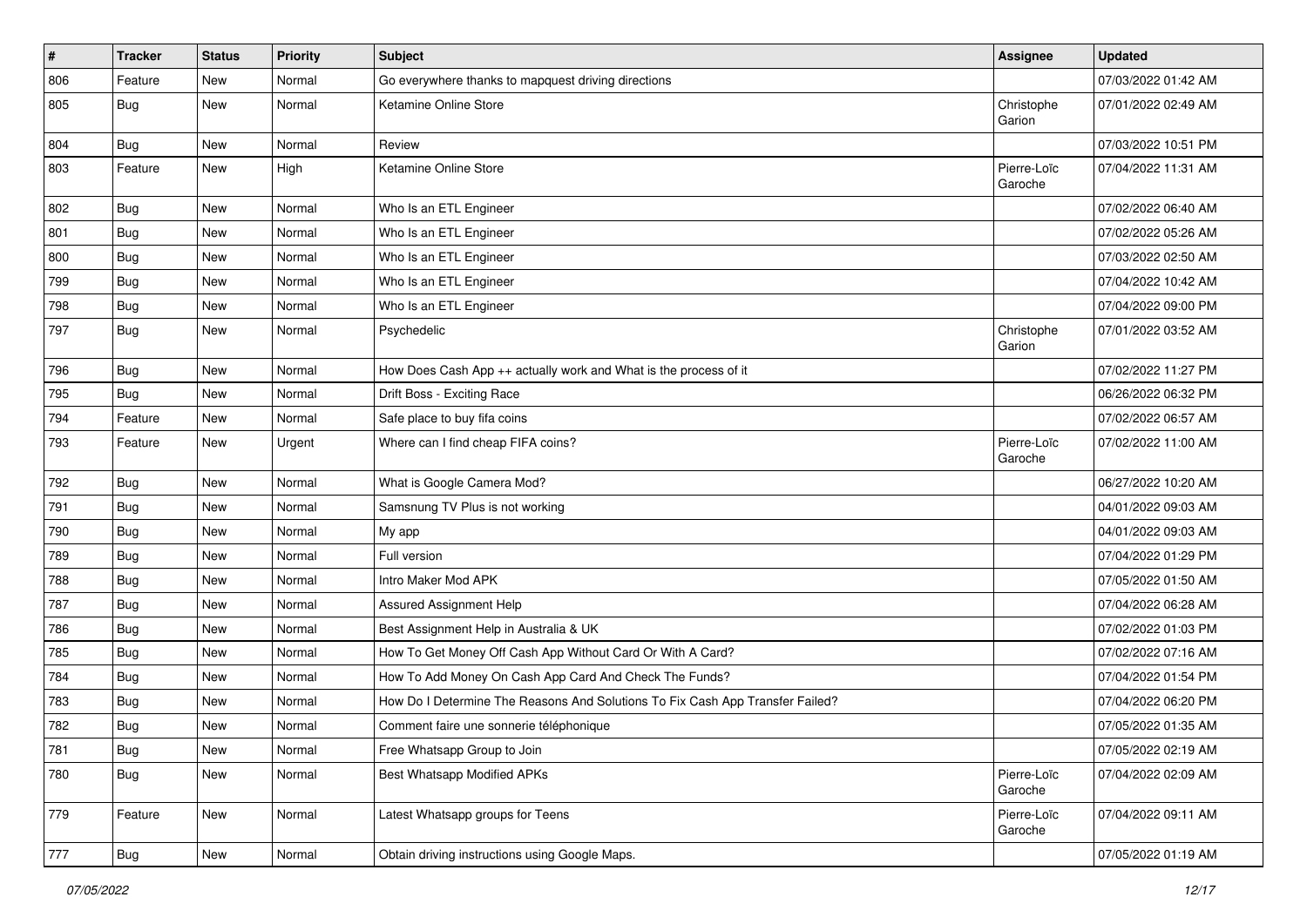| $\pmb{\#}$ | <b>Tracker</b> | <b>Status</b> | <b>Priority</b> | Subject                                                                       | <b>Assignee</b>        | <b>Updated</b>      |
|------------|----------------|---------------|-----------------|-------------------------------------------------------------------------------|------------------------|---------------------|
| 806        | Feature        | New           | Normal          | Go everywhere thanks to mapquest driving directions                           |                        | 07/03/2022 01:42 AM |
| 805        | Bug            | New           | Normal          | Ketamine Online Store                                                         | Christophe<br>Garion   | 07/01/2022 02:49 AM |
| 804        | Bug            | New           | Normal          | Review                                                                        |                        | 07/03/2022 10:51 PM |
| 803        | Feature        | New           | High            | Ketamine Online Store                                                         | Pierre-Loïc<br>Garoche | 07/04/2022 11:31 AM |
| 802        | Bug            | New           | Normal          | Who Is an ETL Engineer                                                        |                        | 07/02/2022 06:40 AM |
| 801        | Bug            | New           | Normal          | Who Is an ETL Engineer                                                        |                        | 07/02/2022 05:26 AM |
| 800        | <b>Bug</b>     | <b>New</b>    | Normal          | Who Is an ETL Engineer                                                        |                        | 07/03/2022 02:50 AM |
| 799        | Bug            | New           | Normal          | Who Is an ETL Engineer                                                        |                        | 07/04/2022 10:42 AM |
| 798        | Bug            | New           | Normal          | Who Is an ETL Engineer                                                        |                        | 07/04/2022 09:00 PM |
| 797        | Bug            | New           | Normal          | Psychedelic                                                                   | Christophe<br>Garion   | 07/01/2022 03:52 AM |
| 796        | Bug            | New           | Normal          | How Does Cash App ++ actually work and What is the process of it              |                        | 07/02/2022 11:27 PM |
| 795        | Bug            | <b>New</b>    | Normal          | Drift Boss - Exciting Race                                                    |                        | 06/26/2022 06:32 PM |
| 794        | Feature        | New           | Normal          | Safe place to buy fifa coins                                                  |                        | 07/02/2022 06:57 AM |
| 793        | Feature        | New           | Urgent          | Where can I find cheap FIFA coins?                                            | Pierre-Loïc<br>Garoche | 07/02/2022 11:00 AM |
| 792        | Bug            | New           | Normal          | What is Google Camera Mod?                                                    |                        | 06/27/2022 10:20 AM |
| 791        | Bug            | New           | Normal          | Samsnung TV Plus is not working                                               |                        | 04/01/2022 09:03 AM |
| 790        | <b>Bug</b>     | New           | Normal          | My app                                                                        |                        | 04/01/2022 09:03 AM |
| 789        | <b>Bug</b>     | New           | Normal          | Full version                                                                  |                        | 07/04/2022 01:29 PM |
| 788        | Bug            | New           | Normal          | Intro Maker Mod APK                                                           |                        | 07/05/2022 01:50 AM |
| 787        | Bug            | New           | Normal          | Assured Assignment Help                                                       |                        | 07/04/2022 06:28 AM |
| 786        | <b>Bug</b>     | New           | Normal          | Best Assignment Help in Australia & UK                                        |                        | 07/02/2022 01:03 PM |
| 785        | Bug            | <b>New</b>    | Normal          | How To Get Money Off Cash App Without Card Or With A Card?                    |                        | 07/02/2022 07:16 AM |
| 784        | Bug            | New           | Normal          | How To Add Money On Cash App Card And Check The Funds?                        |                        | 07/04/2022 01:54 PM |
| 783        | <b>Bug</b>     | New           | Normal          | How Do I Determine The Reasons And Solutions To Fix Cash App Transfer Failed? |                        | 07/04/2022 06:20 PM |
| 782        | <b>Bug</b>     | New           | Normal          | Comment faire une sonnerie téléphonique                                       |                        | 07/05/2022 01:35 AM |
| 781        | <b>Bug</b>     | New           | Normal          | Free Whatsapp Group to Join                                                   |                        | 07/05/2022 02:19 AM |
| 780        | <b>Bug</b>     | New           | Normal          | <b>Best Whatsapp Modified APKs</b>                                            | Pierre-Loïc<br>Garoche | 07/04/2022 02:09 AM |
| 779        | Feature        | New           | Normal          | Latest Whatsapp groups for Teens                                              | Pierre-Loïc<br>Garoche | 07/04/2022 09:11 AM |
| 777        | Bug            | New           | Normal          | Obtain driving instructions using Google Maps.                                |                        | 07/05/2022 01:19 AM |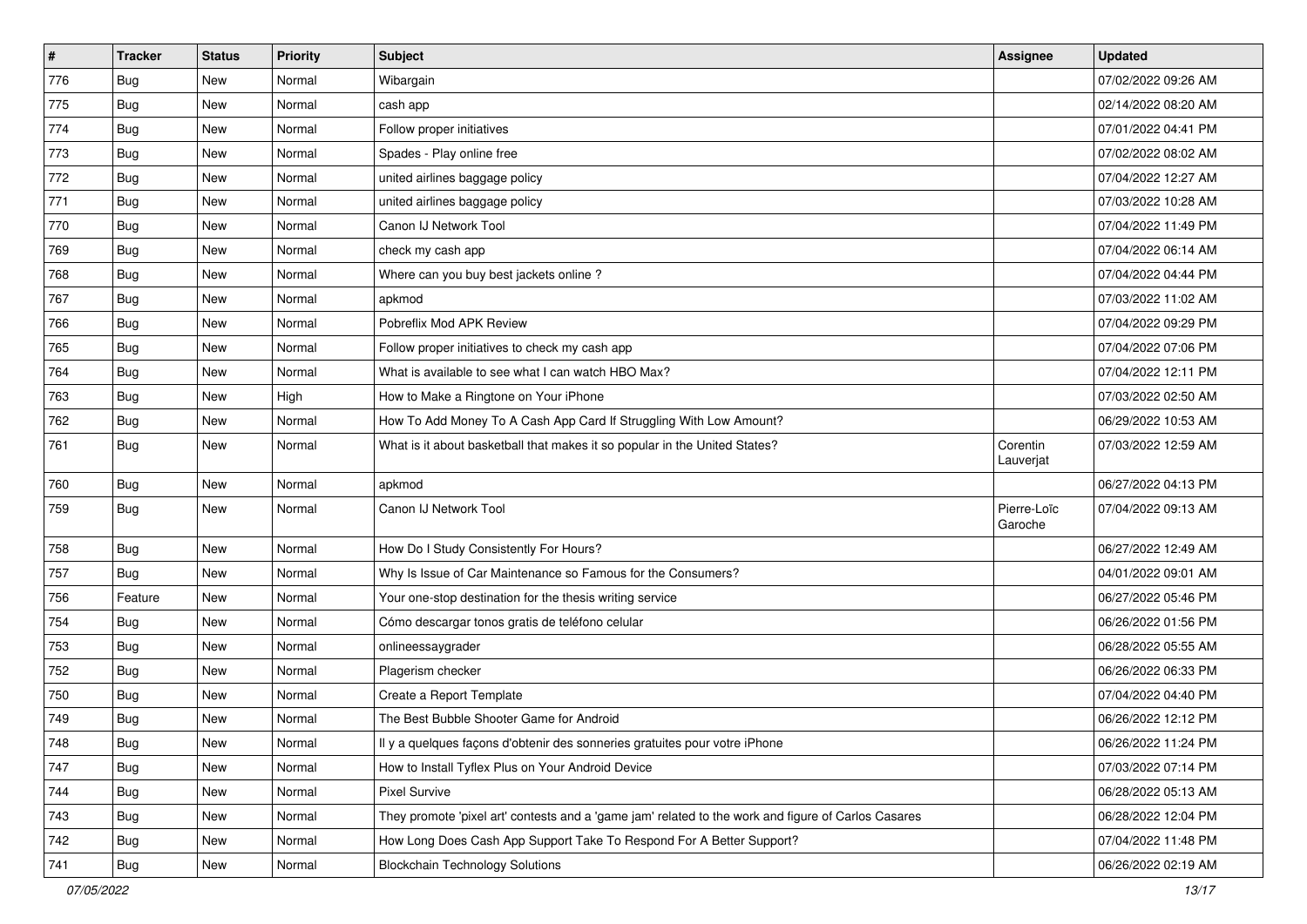| $\pmb{\sharp}$ | <b>Tracker</b> | <b>Status</b> | <b>Priority</b> | Subject                                                                                             | Assignee               | <b>Updated</b>      |
|----------------|----------------|---------------|-----------------|-----------------------------------------------------------------------------------------------------|------------------------|---------------------|
| 776            | <b>Bug</b>     | New           | Normal          | Wibargain                                                                                           |                        | 07/02/2022 09:26 AM |
| 775            | Bug            | <b>New</b>    | Normal          | cash app                                                                                            |                        | 02/14/2022 08:20 AM |
| 774            | Bug            | New           | Normal          | Follow proper initiatives                                                                           |                        | 07/01/2022 04:41 PM |
| 773            | <b>Bug</b>     | New           | Normal          | Spades - Play online free                                                                           |                        | 07/02/2022 08:02 AM |
| 772            | Bug            | <b>New</b>    | Normal          | united airlines baggage policy                                                                      |                        | 07/04/2022 12:27 AM |
| 771            | Bug            | New           | Normal          | united airlines baggage policy                                                                      |                        | 07/03/2022 10:28 AM |
| 770            | Bug            | New           | Normal          | Canon IJ Network Tool                                                                               |                        | 07/04/2022 11:49 PM |
| 769            | Bug            | New           | Normal          | check my cash app                                                                                   |                        | 07/04/2022 06:14 AM |
| 768            | Bug            | New           | Normal          | Where can you buy best jackets online?                                                              |                        | 07/04/2022 04:44 PM |
| 767            | Bug            | New           | Normal          | apkmod                                                                                              |                        | 07/03/2022 11:02 AM |
| 766            | <b>Bug</b>     | New           | Normal          | Pobreflix Mod APK Review                                                                            |                        | 07/04/2022 09:29 PM |
| 765            | Bug            | New           | Normal          | Follow proper initiatives to check my cash app                                                      |                        | 07/04/2022 07:06 PM |
| 764            | Bug            | <b>New</b>    | Normal          | What is available to see what I can watch HBO Max?                                                  |                        | 07/04/2022 12:11 PM |
| 763            | Bug            | New           | High            | How to Make a Ringtone on Your iPhone                                                               |                        | 07/03/2022 02:50 AM |
| 762            | <b>Bug</b>     | New           | Normal          | How To Add Money To A Cash App Card If Struggling With Low Amount?                                  |                        | 06/29/2022 10:53 AM |
| 761            | Bug            | New           | Normal          | What is it about basketball that makes it so popular in the United States?                          | Corentin<br>Lauverjat  | 07/03/2022 12:59 AM |
| 760            | Bug            | <b>New</b>    | Normal          | apkmod                                                                                              |                        | 06/27/2022 04:13 PM |
| 759            | Bug            | New           | Normal          | Canon IJ Network Tool                                                                               | Pierre-Loïc<br>Garoche | 07/04/2022 09:13 AM |
| 758            | <b>Bug</b>     | <b>New</b>    | Normal          | How Do I Study Consistently For Hours?                                                              |                        | 06/27/2022 12:49 AM |
| 757            | Bug            | <b>New</b>    | Normal          | Why Is Issue of Car Maintenance so Famous for the Consumers?                                        |                        | 04/01/2022 09:01 AM |
| 756            | Feature        | New           | Normal          | Your one-stop destination for the thesis writing service                                            |                        | 06/27/2022 05:46 PM |
| 754            | Bug            | New           | Normal          | Cómo descargar tonos gratis de teléfono celular                                                     |                        | 06/26/2022 01:56 PM |
| 753            | Bug            | New           | Normal          | onlineessaygrader                                                                                   |                        | 06/28/2022 05:55 AM |
| 752            | Bug            | <b>New</b>    | Normal          | Plagerism checker                                                                                   |                        | 06/26/2022 06:33 PM |
| 750            | <b>Bug</b>     | New           | Normal          | Create a Report Template                                                                            |                        | 07/04/2022 04:40 PM |
| 749            | <b>Bug</b>     | New           | Normal          | The Best Bubble Shooter Game for Android                                                            |                        | 06/26/2022 12:12 PM |
| 748            | Bug            | New           | Normal          | Il y a quelques façons d'obtenir des sonneries gratuites pour votre iPhone                          |                        | 06/26/2022 11:24 PM |
| 747            | Bug            | New           | Normal          | How to Install Tyflex Plus on Your Android Device                                                   |                        | 07/03/2022 07:14 PM |
| 744            | Bug            | New           | Normal          | Pixel Survive                                                                                       |                        | 06/28/2022 05:13 AM |
| 743            | <b>Bug</b>     | New           | Normal          | They promote 'pixel art' contests and a 'game jam' related to the work and figure of Carlos Casares |                        | 06/28/2022 12:04 PM |
| 742            | <b>Bug</b>     | New           | Normal          | How Long Does Cash App Support Take To Respond For A Better Support?                                |                        | 07/04/2022 11:48 PM |
| 741            | <b>Bug</b>     | New           | Normal          | <b>Blockchain Technology Solutions</b>                                                              |                        | 06/26/2022 02:19 AM |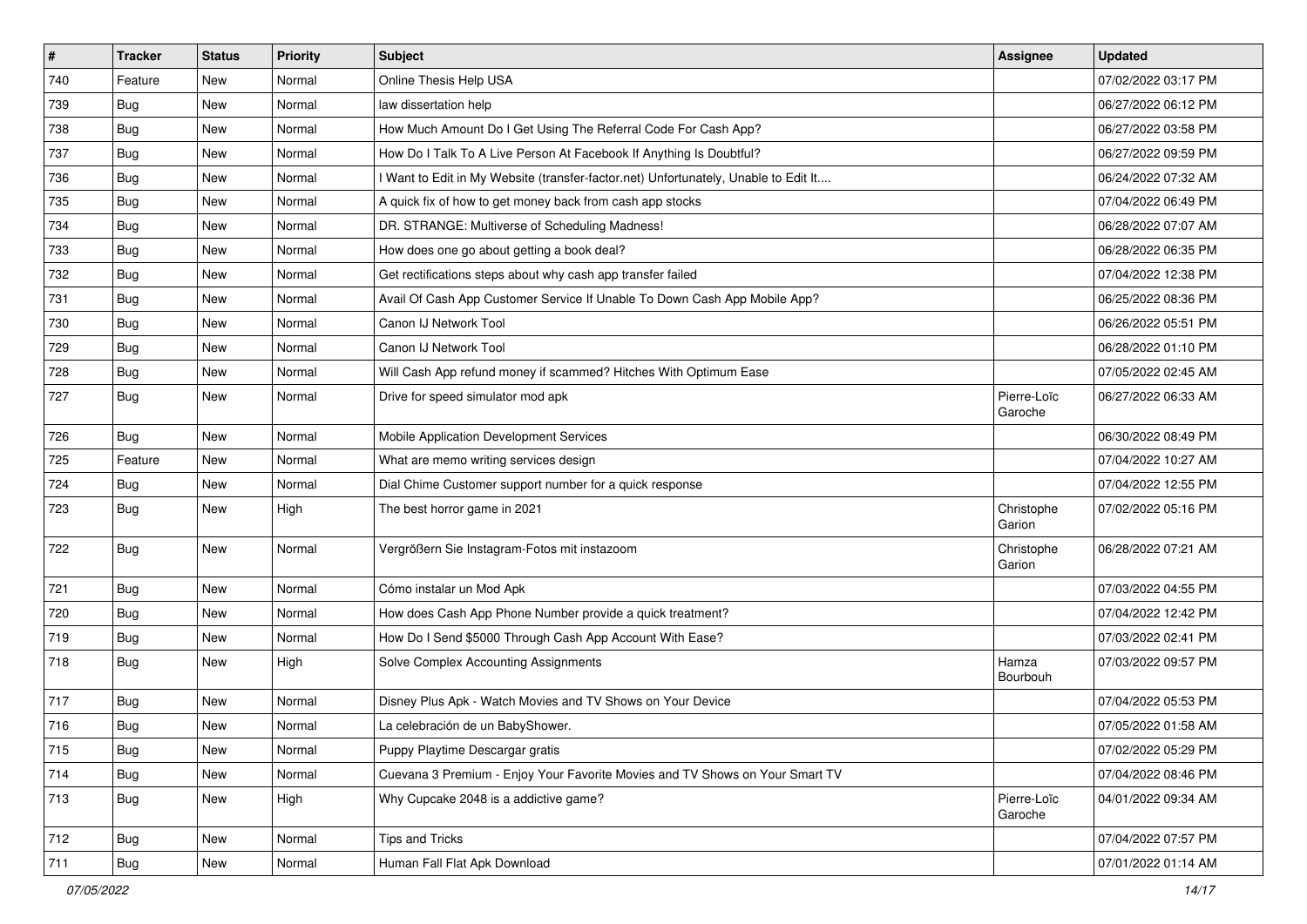| $\vert$ # | <b>Tracker</b> | <b>Status</b> | Priority | <b>Subject</b>                                                                    | Assignee               | <b>Updated</b>      |
|-----------|----------------|---------------|----------|-----------------------------------------------------------------------------------|------------------------|---------------------|
| 740       | Feature        | New           | Normal   | Online Thesis Help USA                                                            |                        | 07/02/2022 03:17 PM |
| 739       | <b>Bug</b>     | New           | Normal   | law dissertation help                                                             |                        | 06/27/2022 06:12 PM |
| 738       | Bug            | New           | Normal   | How Much Amount Do I Get Using The Referral Code For Cash App?                    |                        | 06/27/2022 03:58 PM |
| 737       | <b>Bug</b>     | New           | Normal   | How Do I Talk To A Live Person At Facebook If Anything Is Doubtful?               |                        | 06/27/2022 09:59 PM |
| 736       | Bug            | New           | Normal   | Want to Edit in My Website (transfer-factor.net) Unfortunately, Unable to Edit It |                        | 06/24/2022 07:32 AM |
| 735       | <b>Bug</b>     | New           | Normal   | A quick fix of how to get money back from cash app stocks                         |                        | 07/04/2022 06:49 PM |
| 734       | Bug            | New           | Normal   | DR. STRANGE: Multiverse of Scheduling Madness!                                    |                        | 06/28/2022 07:07 AM |
| 733       | Bug            | New           | Normal   | How does one go about getting a book deal?                                        |                        | 06/28/2022 06:35 PM |
| 732       | <b>Bug</b>     | New           | Normal   | Get rectifications steps about why cash app transfer failed                       |                        | 07/04/2022 12:38 PM |
| 731       | Bug            | New           | Normal   | Avail Of Cash App Customer Service If Unable To Down Cash App Mobile App?         |                        | 06/25/2022 08:36 PM |
| 730       | <b>Bug</b>     | New           | Normal   | Canon IJ Network Tool                                                             |                        | 06/26/2022 05:51 PM |
| 729       | <b>Bug</b>     | New           | Normal   | Canon IJ Network Tool                                                             |                        | 06/28/2022 01:10 PM |
| 728       | Bug            | New           | Normal   | Will Cash App refund money if scammed? Hitches With Optimum Ease                  |                        | 07/05/2022 02:45 AM |
| 727       | <b>Bug</b>     | New           | Normal   | Drive for speed simulator mod apk                                                 | Pierre-Loïc<br>Garoche | 06/27/2022 06:33 AM |
| 726       | <b>Bug</b>     | New           | Normal   | Mobile Application Development Services                                           |                        | 06/30/2022 08:49 PM |
| 725       | Feature        | New           | Normal   | What are memo writing services design                                             |                        | 07/04/2022 10:27 AM |
| 724       | Bug            | New           | Normal   | Dial Chime Customer support number for a quick response                           |                        | 07/04/2022 12:55 PM |
| 723       | Bug            | New           | High     | The best horror game in 2021                                                      | Christophe<br>Garion   | 07/02/2022 05:16 PM |
| 722       | <b>Bug</b>     | New           | Normal   | Vergrößern Sie Instagram-Fotos mit instazoom                                      | Christophe<br>Garion   | 06/28/2022 07:21 AM |
| 721       | Bug            | New           | Normal   | Cómo instalar un Mod Apk                                                          |                        | 07/03/2022 04:55 PM |
| 720       | Bug            | New           | Normal   | How does Cash App Phone Number provide a quick treatment?                         |                        | 07/04/2022 12:42 PM |
| 719       | Bug            | New           | Normal   | How Do I Send \$5000 Through Cash App Account With Ease?                          |                        | 07/03/2022 02:41 PM |
| 718       | Bug            | New           | High     | Solve Complex Accounting Assignments                                              | Hamza<br>Bourbouh      | 07/03/2022 09:57 PM |
| 717       | Bug            | New           | Normal   | Disney Plus Apk - Watch Movies and TV Shows on Your Device                        |                        | 07/04/2022 05:53 PM |
| 716       | <b>Bug</b>     | New           | Normal   | La celebración de un BabyShower.                                                  |                        | 07/05/2022 01:58 AM |
| 715       | <b>Bug</b>     | New           | Normal   | Puppy Playtime Descargar gratis                                                   |                        | 07/02/2022 05:29 PM |
| 714       | Bug            | New           | Normal   | Cuevana 3 Premium - Enjoy Your Favorite Movies and TV Shows on Your Smart TV      |                        | 07/04/2022 08:46 PM |
| 713       | Bug            | New           | High     | Why Cupcake 2048 is a addictive game?                                             | Pierre-Loïc<br>Garoche | 04/01/2022 09:34 AM |
| 712       | Bug            | New           | Normal   | Tips and Tricks                                                                   |                        | 07/04/2022 07:57 PM |
| 711       | Bug            | New           | Normal   | Human Fall Flat Apk Download                                                      |                        | 07/01/2022 01:14 AM |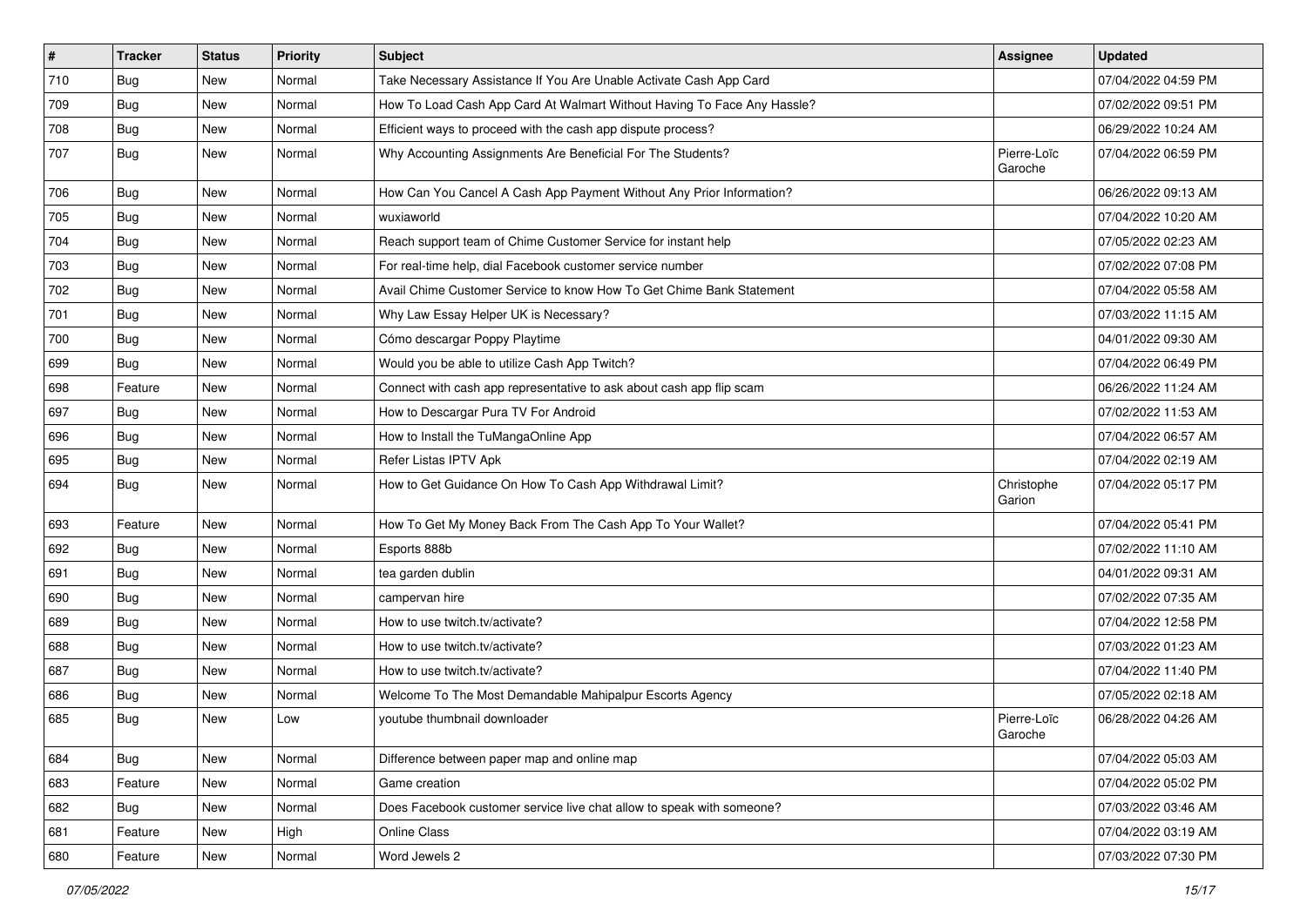| $\vert$ # | <b>Tracker</b> | <b>Status</b> | <b>Priority</b> | <b>Subject</b>                                                          | <b>Assignee</b>        | <b>Updated</b>      |
|-----------|----------------|---------------|-----------------|-------------------------------------------------------------------------|------------------------|---------------------|
| 710       | <b>Bug</b>     | New           | Normal          | Take Necessary Assistance If You Are Unable Activate Cash App Card      |                        | 07/04/2022 04:59 PM |
| 709       | Bug            | <b>New</b>    | Normal          | How To Load Cash App Card At Walmart Without Having To Face Any Hassle? |                        | 07/02/2022 09:51 PM |
| 708       | <b>Bug</b>     | New           | Normal          | Efficient ways to proceed with the cash app dispute process?            |                        | 06/29/2022 10:24 AM |
| 707       | <b>Bug</b>     | New           | Normal          | Why Accounting Assignments Are Beneficial For The Students?             | Pierre-Loïc<br>Garoche | 07/04/2022 06:59 PM |
| 706       | <b>Bug</b>     | <b>New</b>    | Normal          | How Can You Cancel A Cash App Payment Without Any Prior Information?    |                        | 06/26/2022 09:13 AM |
| 705       | Bug            | <b>New</b>    | Normal          | wuxiaworld                                                              |                        | 07/04/2022 10:20 AM |
| 704       | Bug            | <b>New</b>    | Normal          | Reach support team of Chime Customer Service for instant help           |                        | 07/05/2022 02:23 AM |
| 703       | <b>Bug</b>     | New           | Normal          | For real-time help, dial Facebook customer service number               |                        | 07/02/2022 07:08 PM |
| 702       | <b>Bug</b>     | <b>New</b>    | Normal          | Avail Chime Customer Service to know How To Get Chime Bank Statement    |                        | 07/04/2022 05:58 AM |
| 701       | Bug            | New           | Normal          | Why Law Essay Helper UK is Necessary?                                   |                        | 07/03/2022 11:15 AM |
| 700       | Bug            | <b>New</b>    | Normal          | Cómo descargar Poppy Playtime                                           |                        | 04/01/2022 09:30 AM |
| 699       | Bug            | <b>New</b>    | Normal          | Would you be able to utilize Cash App Twitch?                           |                        | 07/04/2022 06:49 PM |
| 698       | Feature        | New           | Normal          | Connect with cash app representative to ask about cash app flip scam    |                        | 06/26/2022 11:24 AM |
| 697       | Bug            | <b>New</b>    | Normal          | How to Descargar Pura TV For Android                                    |                        | 07/02/2022 11:53 AM |
| 696       | <b>Bug</b>     | New           | Normal          | How to Install the TuMangaOnline App                                    |                        | 07/04/2022 06:57 AM |
| 695       | Bug            | <b>New</b>    | Normal          | Refer Listas IPTV Apk                                                   |                        | 07/04/2022 02:19 AM |
| 694       | <b>Bug</b>     | <b>New</b>    | Normal          | How to Get Guidance On How To Cash App Withdrawal Limit?                | Christophe<br>Garion   | 07/04/2022 05:17 PM |
| 693       | Feature        | <b>New</b>    | Normal          | How To Get My Money Back From The Cash App To Your Wallet?              |                        | 07/04/2022 05:41 PM |
| 692       | Bug            | New           | Normal          | Esports 888b                                                            |                        | 07/02/2022 11:10 AM |
| 691       | Bug            | <b>New</b>    | Normal          | tea garden dublin                                                       |                        | 04/01/2022 09:31 AM |
| 690       | Bug            | New           | Normal          | campervan hire                                                          |                        | 07/02/2022 07:35 AM |
| 689       | <b>Bug</b>     | New           | Normal          | How to use twitch.tv/activate?                                          |                        | 07/04/2022 12:58 PM |
| 688       | <b>Bug</b>     | <b>New</b>    | Normal          | How to use twitch.tv/activate?                                          |                        | 07/03/2022 01:23 AM |
| 687       | Bug            | <b>New</b>    | Normal          | How to use twitch.tv/activate?                                          |                        | 07/04/2022 11:40 PM |
| 686       | <b>Bug</b>     | New           | Normal          | Welcome To The Most Demandable Mahipalpur Escorts Agency                |                        | 07/05/2022 02:18 AM |
| 685       | Bug            | New           | Low             | voutube thumbnail downloader                                            | Pierre-Loïc<br>Garoche | 06/28/2022 04:26 AM |
| 684       | Bug            | New           | Normal          | Difference between paper map and online map                             |                        | 07/04/2022 05:03 AM |
| 683       | Feature        | <b>New</b>    | Normal          | Game creation                                                           |                        | 07/04/2022 05:02 PM |
| 682       | <b>Bug</b>     | New           | Normal          | Does Facebook customer service live chat allow to speak with someone?   |                        | 07/03/2022 03:46 AM |
| 681       | Feature        | New           | High            | Online Class                                                            |                        | 07/04/2022 03:19 AM |
| 680       | Feature        | New           | Normal          | Word Jewels 2                                                           |                        | 07/03/2022 07:30 PM |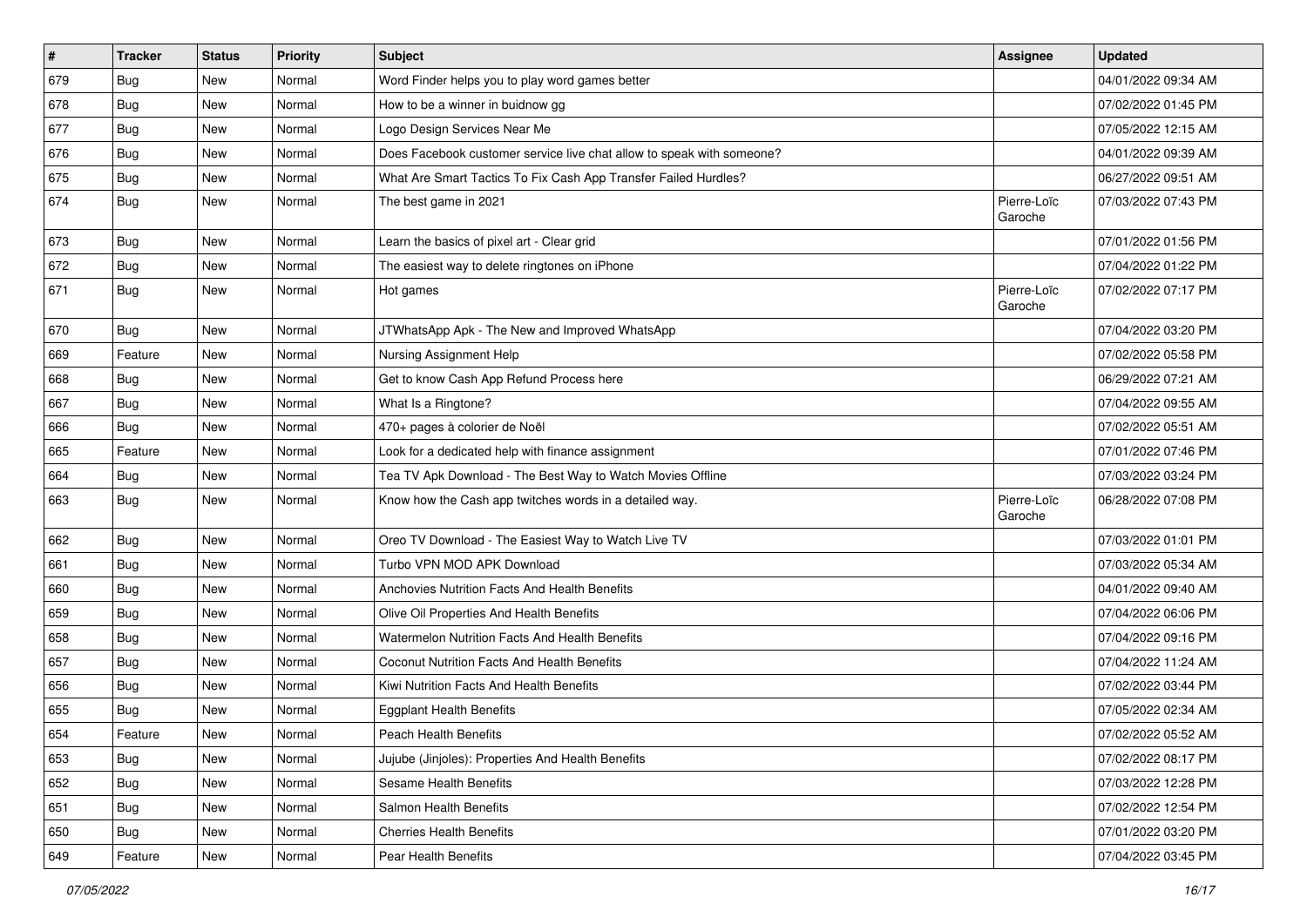| $\vert$ # | <b>Tracker</b> | <b>Status</b> | <b>Priority</b> | <b>Subject</b>                                                        | Assignee               | <b>Updated</b>      |
|-----------|----------------|---------------|-----------------|-----------------------------------------------------------------------|------------------------|---------------------|
| 679       | <b>Bug</b>     | New           | Normal          | Word Finder helps you to play word games better                       |                        | 04/01/2022 09:34 AM |
| 678       | Bug            | New           | Normal          | How to be a winner in buidnow gg                                      |                        | 07/02/2022 01:45 PM |
| 677       | <b>Bug</b>     | New           | Normal          | Logo Design Services Near Me                                          |                        | 07/05/2022 12:15 AM |
| 676       | <b>Bug</b>     | New           | Normal          | Does Facebook customer service live chat allow to speak with someone? |                        | 04/01/2022 09:39 AM |
| 675       | <b>Bug</b>     | New           | Normal          | What Are Smart Tactics To Fix Cash App Transfer Failed Hurdles?       |                        | 06/27/2022 09:51 AM |
| 674       | Bug            | New           | Normal          | The best game in 2021                                                 | Pierre-Loïc<br>Garoche | 07/03/2022 07:43 PM |
| 673       | <b>Bug</b>     | New           | Normal          | Learn the basics of pixel art - Clear grid                            |                        | 07/01/2022 01:56 PM |
| 672       | <b>Bug</b>     | New           | Normal          | The easiest way to delete ringtones on iPhone                         |                        | 07/04/2022 01:22 PM |
| 671       | Bug            | New           | Normal          | Hot games                                                             | Pierre-Loïc<br>Garoche | 07/02/2022 07:17 PM |
| 670       | Bug            | New           | Normal          | JTWhatsApp Apk - The New and Improved WhatsApp                        |                        | 07/04/2022 03:20 PM |
| 669       | Feature        | New           | Normal          | Nursing Assignment Help                                               |                        | 07/02/2022 05:58 PM |
| 668       | Bug            | New           | Normal          | Get to know Cash App Refund Process here                              |                        | 06/29/2022 07:21 AM |
| 667       | Bug            | New           | Normal          | What Is a Ringtone?                                                   |                        | 07/04/2022 09:55 AM |
| 666       | <b>Bug</b>     | New           | Normal          | 470+ pages à colorier de Noël                                         |                        | 07/02/2022 05:51 AM |
| 665       | Feature        | New           | Normal          | Look for a dedicated help with finance assignment                     |                        | 07/01/2022 07:46 PM |
| 664       | Bug            | New           | Normal          | Tea TV Apk Download - The Best Way to Watch Movies Offline            |                        | 07/03/2022 03:24 PM |
| 663       | Bug            | New           | Normal          | Know how the Cash app twitches words in a detailed way.               | Pierre-Loïc<br>Garoche | 06/28/2022 07:08 PM |
| 662       | Bug            | New           | Normal          | Oreo TV Download - The Easiest Way to Watch Live TV                   |                        | 07/03/2022 01:01 PM |
| 661       | Bug            | New           | Normal          | Turbo VPN MOD APK Download                                            |                        | 07/03/2022 05:34 AM |
| 660       | <b>Bug</b>     | New           | Normal          | Anchovies Nutrition Facts And Health Benefits                         |                        | 04/01/2022 09:40 AM |
| 659       | Bug            | New           | Normal          | Olive Oil Properties And Health Benefits                              |                        | 07/04/2022 06:06 PM |
| 658       | <b>Bug</b>     | New           | Normal          | Watermelon Nutrition Facts And Health Benefits                        |                        | 07/04/2022 09:16 PM |
| 657       | Bug            | New           | Normal          | Coconut Nutrition Facts And Health Benefits                           |                        | 07/04/2022 11:24 AM |
| 656       | <b>Bug</b>     | New           | Normal          | Kiwi Nutrition Facts And Health Benefits                              |                        | 07/02/2022 03:44 PM |
| 655       | <b>Bug</b>     | New           | Normal          | <b>Eggplant Health Benefits</b>                                       |                        | 07/05/2022 02:34 AM |
| 654       | Feature        | New           | Normal          | Peach Health Benefits                                                 |                        | 07/02/2022 05:52 AM |
| 653       | Bug            | New           | Normal          | Jujube (Jinjoles): Properties And Health Benefits                     |                        | 07/02/2022 08:17 PM |
| 652       | Bug            | New           | Normal          | Sesame Health Benefits                                                |                        | 07/03/2022 12:28 PM |
| 651       | Bug            | New           | Normal          | Salmon Health Benefits                                                |                        | 07/02/2022 12:54 PM |
| 650       | Bug            | New           | Normal          | <b>Cherries Health Benefits</b>                                       |                        | 07/01/2022 03:20 PM |
| 649       | Feature        | New           | Normal          | Pear Health Benefits                                                  |                        | 07/04/2022 03:45 PM |